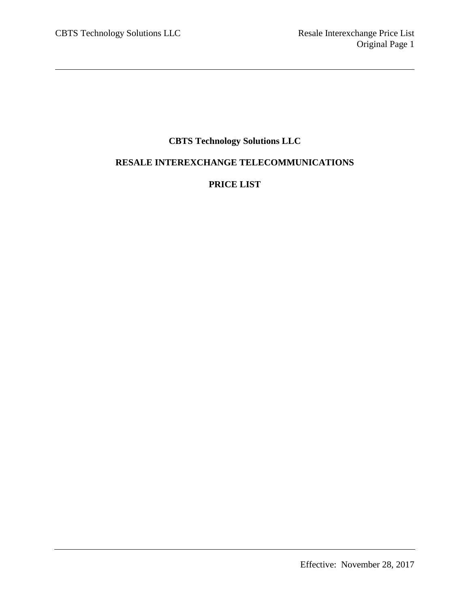# **CBTS Technology Solutions LLC**

# **RESALE INTEREXCHANGE TELECOMMUNICATIONS**

# **PRICE LIST**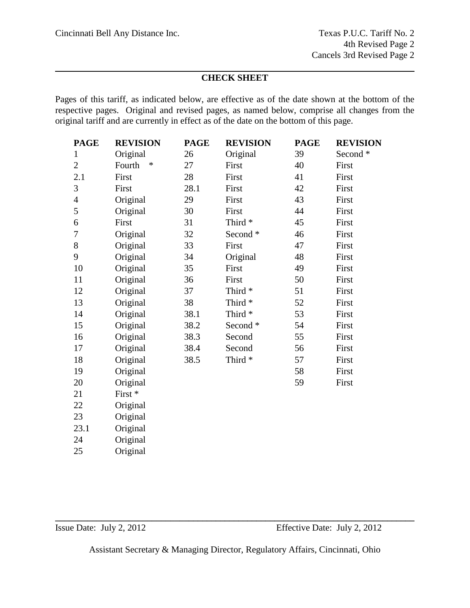# **CHECK SHEET**

Pages of this tariff, as indicated below, are effective as of the date shown at the bottom of the respective pages. Original and revised pages, as named below, comprise all changes from the original tariff and are currently in effect as of the date on the bottom of this page.

| <b>PAGE</b>              | <b>REVISION</b> | <b>PAGE</b> | <b>REVISION</b>    | <b>PAGE</b> | <b>REVISION</b> |
|--------------------------|-----------------|-------------|--------------------|-------------|-----------------|
| $\mathbf{1}$             | Original        | 26          | Original           | 39          | Second *        |
| $\overline{2}$           | *<br>Fourth     | 27          | First              | 40          | First           |
| 2.1                      | First           | 28          | First              | 41          | First           |
| 3                        | First           | 28.1        | First              | 42          | First           |
| $\overline{\mathcal{A}}$ | Original        | 29          | First              | 43          | First           |
| 5                        | Original        | 30          | First              | 44          | First           |
| 6                        | First           | 31          | Third <sup>*</sup> | 45          | First           |
| 7                        | Original        | 32          | Second *           | 46          | First           |
| 8                        | Original        | 33          | First              | 47          | First           |
| 9                        | Original        | 34          | Original           | 48          | First           |
| 10                       | Original        | 35          | First              | 49          | First           |
| 11                       | Original        | 36          | First              | 50          | First           |
| 12                       | Original        | 37          | Third <sup>*</sup> | 51          | First           |
| 13                       | Original        | 38          | Third <sup>*</sup> | 52          | First           |
| 14                       | Original        | 38.1        | Third <sup>*</sup> | 53          | First           |
| 15                       | Original        | 38.2        | Second *           | 54          | First           |
| 16                       | Original        | 38.3        | Second             | 55          | First           |
| 17                       | Original        | 38.4        | Second             | 56          | First           |
| 18                       | Original        | 38.5        | Third <sup>*</sup> | 57          | First           |
| 19                       | Original        |             |                    | 58          | First           |
| 20                       | Original        |             |                    | 59          | First           |
| 21                       | First *         |             |                    |             |                 |
| 22                       | Original        |             |                    |             |                 |
| 23                       | Original        |             |                    |             |                 |
| 23.1                     | Original        |             |                    |             |                 |
| 24                       | Original        |             |                    |             |                 |
| 25                       | Original        |             |                    |             |                 |
|                          |                 |             |                    |             |                 |

Assistant Secretary & Managing Director, Regulatory Affairs, Cincinnati, Ohio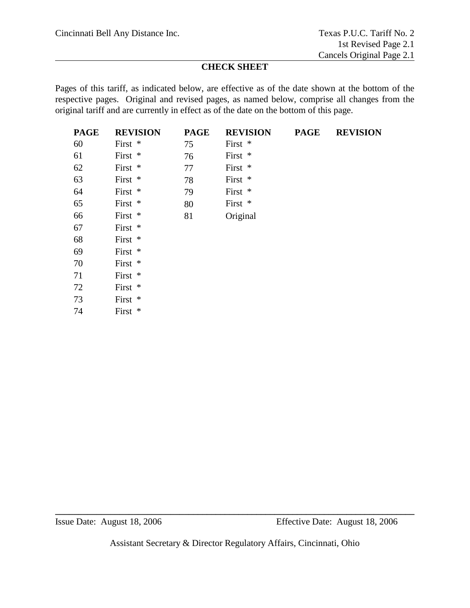# **CHECK SHEET**

Pages of this tariff, as indicated below, are effective as of the date shown at the bottom of the respective pages. Original and revised pages, as named below, comprise all changes from the original tariff and are currently in effect as of the date on the bottom of this page.

| <b>PAGE</b> | <b>REVISION</b> | <b>PAGE</b> | <b>REVISION</b> | <b>PAGE</b> | <b>REVISION</b> |
|-------------|-----------------|-------------|-----------------|-------------|-----------------|
| 60          | First *         | 75          | First *         |             |                 |
| 61          | First *         | 76          | First *         |             |                 |
| 62          | First *         | 77          | First *         |             |                 |
| 63          | First *         | 78          | First *         |             |                 |
| 64          | First *         | 79          | First *         |             |                 |
| 65          | First *         | 80          | First *         |             |                 |
| 66          | First *         | 81          | Original        |             |                 |
| 67          | First *         |             |                 |             |                 |
| 68          | First *         |             |                 |             |                 |
| 69          | First *         |             |                 |             |                 |
| 70          | First *         |             |                 |             |                 |
| 71          | First *         |             |                 |             |                 |
| 72          | First *         |             |                 |             |                 |
| 73          | First *         |             |                 |             |                 |
| 74          | First *         |             |                 |             |                 |

Assistant Secretary & Director Regulatory Affairs, Cincinnati, Ohio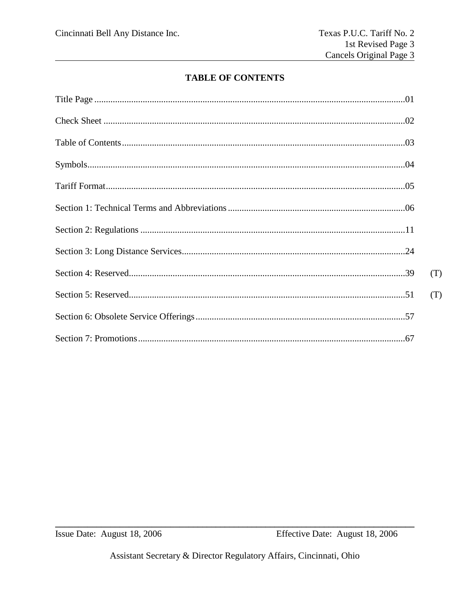# **TABLE OF CONTENTS**

| (T) |
|-----|
| (T) |
|     |
|     |

Issue Date: August 18, 2006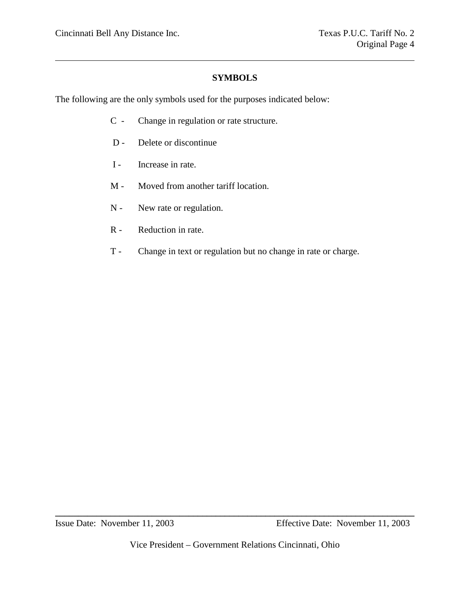#### **SYMBOLS**

The following are the only symbols used for the purposes indicated below:

- C Change in regulation or rate structure.
- D Delete or discontinue
- I Increase in rate.
- M Moved from another tariff location.
- N New rate or regulation.
- R Reduction in rate.
- T Change in text or regulation but no change in rate or charge.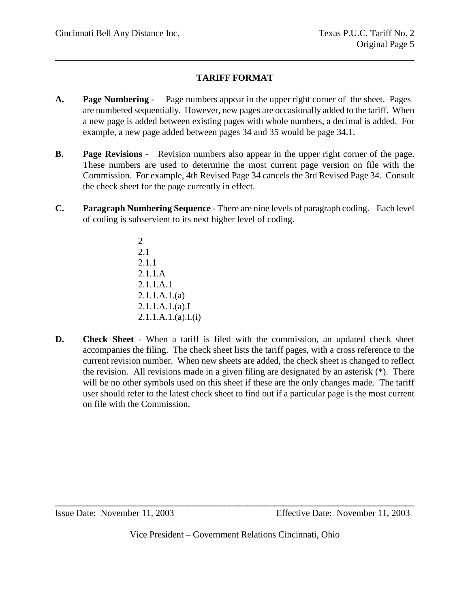# **TARIFF FORMAT**

- **A. Page Numbering** Page numbers appear in the upper right corner of the sheet. Pages are numbered sequentially. However, new pages are occasionally added to the tariff. When a new page is added between existing pages with whole numbers, a decimal is added. For example, a new page added between pages 34 and 35 would be page 34.1.
- **B. Page Revisions** Revision numbers also appear in the upper right corner of the page. These numbers are used to determine the most current page version on file with the Commission. For example, 4th Revised Page 34 cancels the 3rd Revised Page 34. Consult the check sheet for the page currently in effect.
- **C. Paragraph Numbering Sequence** There are nine levels of paragraph coding. Each level of coding is subservient to its next higher level of coding.
	- 2 2.1 2.1.1 2.1.1.A 2.1.1.A.1 2.1.1.A.1.(a) 2.1.1.A.1.(a).I  $2.1.1.A.1.(a).I.(i)$
- **D. Check Sheet** When a tariff is filed with the commission, an updated check sheet accompanies the filing. The check sheet lists the tariff pages, with a cross reference to the current revision number. When new sheets are added, the check sheet is changed to reflect the revision. All revisions made in a given filing are designated by an asterisk (\*). There will be no other symbols used on this sheet if these are the only changes made. The tariff user should refer to the latest check sheet to find out if a particular page is the most current on file with the Commission.

Vice President – Government Relations Cincinnati, Ohio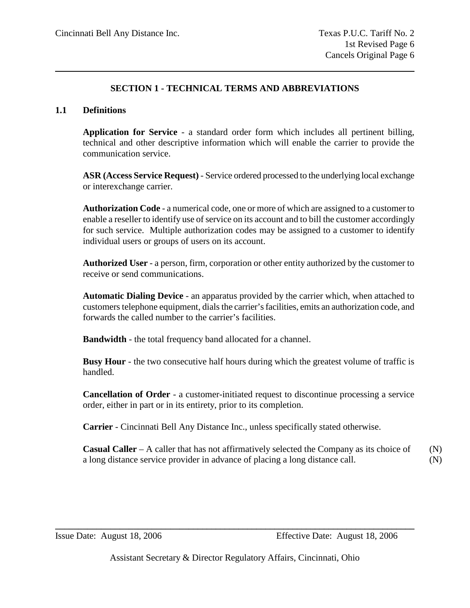# **SECTION 1 - TECHNICAL TERMS AND ABBREVIATIONS**

#### **1.1 Definitions**

**Application for Service** - a standard order form which includes all pertinent billing, technical and other descriptive information which will enable the carrier to provide the communication service.

**ASR (Access Service Request)** - Service ordered processed to the underlying local exchange or interexchange carrier.

**Authorization Code** - a numerical code, one or more of which are assigned to a customer to enable a reseller to identify use of service on its account and to bill the customer accordingly for such service. Multiple authorization codes may be assigned to a customer to identify individual users or groups of users on its account.

**Authorized User** - a person, firm, corporation or other entity authorized by the customer to receive or send communications.

**Automatic Dialing Device** - an apparatus provided by the carrier which, when attached to customers telephone equipment, dials the carrier's facilities, emits an authorization code, and forwards the called number to the carrier's facilities.

**Bandwidth** - the total frequency band allocated for a channel.

**Busy Hour** - the two consecutive half hours during which the greatest volume of traffic is handled.

**Cancellation of Order** - a customer-initiated request to discontinue processing a service order, either in part or in its entirety, prior to its completion.

**Carrier** - Cincinnati Bell Any Distance Inc., unless specifically stated otherwise.

**Casual Caller** – A caller that has not affirmatively selected the Company as its choice of  $(N)$ a long distance service provider in advance of placing a long distance call. (N)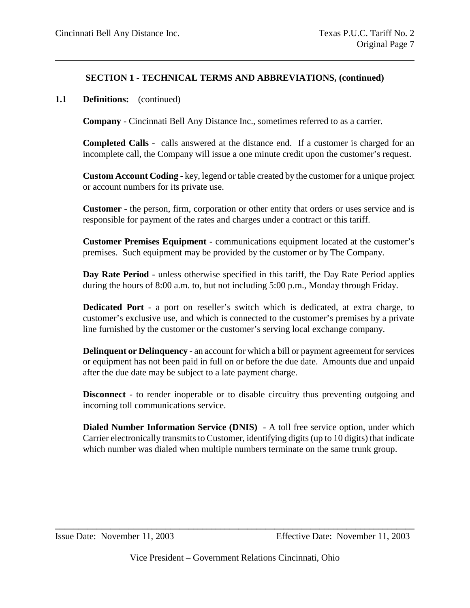#### **1.1 Definitions:** (continued)

**Company** - Cincinnati Bell Any Distance Inc., sometimes referred to as a carrier.

**Completed Calls** - calls answered at the distance end. If a customer is charged for an incomplete call, the Company will issue a one minute credit upon the customer's request.

**Custom Account Coding** - key, legend or table created by the customer for a unique project or account numbers for its private use.

**Customer** - the person, firm, corporation or other entity that orders or uses service and is responsible for payment of the rates and charges under a contract or this tariff.

**Customer Premises Equipment** - communications equipment located at the customer's premises. Such equipment may be provided by the customer or by The Company.

**Day Rate Period** - unless otherwise specified in this tariff, the Day Rate Period applies during the hours of 8:00 a.m. to, but not including 5:00 p.m., Monday through Friday.

**Dedicated Port** - a port on reseller's switch which is dedicated, at extra charge, to customer's exclusive use, and which is connected to the customer's premises by a private line furnished by the customer or the customer's serving local exchange company.

**Delinquent or Delinquency** - an account for which a bill or payment agreement for services or equipment has not been paid in full on or before the due date. Amounts due and unpaid after the due date may be subject to a late payment charge.

**Disconnect** - to render inoperable or to disable circuitry thus preventing outgoing and incoming toll communications service.

**Dialed Number Information Service (DNIS)** - A toll free service option, under which Carrier electronically transmits to Customer, identifying digits (up to 10 digits) that indicate which number was dialed when multiple numbers terminate on the same trunk group.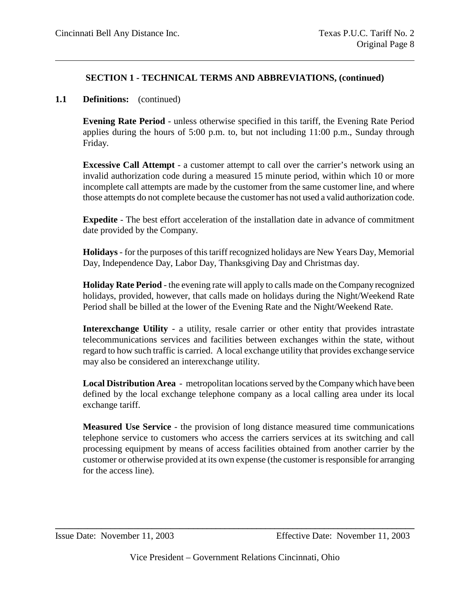# **1.1 Definitions:** (continued)

**Evening Rate Period** - unless otherwise specified in this tariff, the Evening Rate Period applies during the hours of 5:00 p.m. to, but not including 11:00 p.m., Sunday through Friday.

**Excessive Call Attempt** - a customer attempt to call over the carrier's network using an invalid authorization code during a measured 15 minute period, within which 10 or more incomplete call attempts are made by the customer from the same customer line, and where those attempts do not complete because the customer has not used a valid authorization code.

**Expedite** - The best effort acceleration of the installation date in advance of commitment date provided by the Company.

**Holidays** - for the purposes of this tariff recognized holidays are New Years Day, Memorial Day, Independence Day, Labor Day, Thanksgiving Day and Christmas day.

**Holiday Rate Period** - the evening rate will apply to calls made on the Company recognized holidays, provided, however, that calls made on holidays during the Night/Weekend Rate Period shall be billed at the lower of the Evening Rate and the Night/Weekend Rate.

**Interexchange Utility** - a utility, resale carrier or other entity that provides intrastate telecommunications services and facilities between exchanges within the state, without regard to how such traffic is carried. A local exchange utility that provides exchange service may also be considered an interexchange utility.

**Local Distribution Area** - metropolitan locations served by the Company which have been defined by the local exchange telephone company as a local calling area under its local exchange tariff.

**Measured Use Service** - the provision of long distance measured time communications telephone service to customers who access the carriers services at its switching and call processing equipment by means of access facilities obtained from another carrier by the customer or otherwise provided at its own expense (the customer is responsible for arranging for the access line).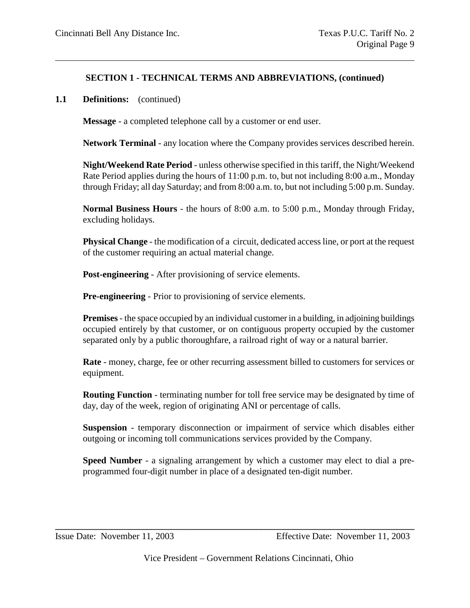#### **1.1 Definitions:** (continued)

**Message** - a completed telephone call by a customer or end user.

**Network Terminal** - any location where the Company provides services described herein.

**Night/Weekend Rate Period** - unless otherwise specified in this tariff, the Night/Weekend Rate Period applies during the hours of 11:00 p.m. to, but not including 8:00 a.m., Monday through Friday; all day Saturday; and from 8:00 a.m. to, but not including 5:00 p.m. Sunday.

**Normal Business Hours** - the hours of 8:00 a.m. to 5:00 p.m., Monday through Friday, excluding holidays.

**Physical Change** - the modification of a circuit, dedicated access line, or port at the request of the customer requiring an actual material change.

**Post-engineering** - After provisioning of service elements.

**Pre-engineering** - Prior to provisioning of service elements.

**Premises**- the space occupied by an individual customer in a building, in adjoining buildings occupied entirely by that customer, or on contiguous property occupied by the customer separated only by a public thoroughfare, a railroad right of way or a natural barrier.

**Rate** - money, charge, fee or other recurring assessment billed to customers for services or equipment.

**Routing Function** - terminating number for toll free service may be designated by time of day, day of the week, region of originating ANI or percentage of calls.

**Suspension** - temporary disconnection or impairment of service which disables either outgoing or incoming toll communications services provided by the Company.

**Speed Number** - a signaling arrangement by which a customer may elect to dial a preprogrammed four-digit number in place of a designated ten-digit number.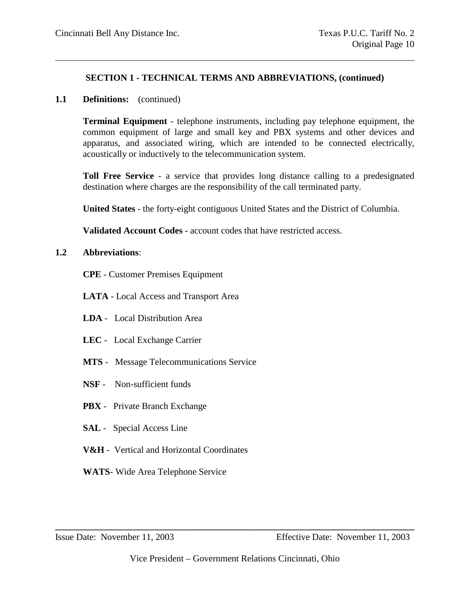#### **1.1 Definitions:** (continued)

**Terminal Equipment** - telephone instruments, including pay telephone equipment, the common equipment of large and small key and PBX systems and other devices and apparatus, and associated wiring, which are intended to be connected electrically, acoustically or inductively to the telecommunication system.

**Toll Free Service** - a service that provides long distance calling to a predesignated destination where charges are the responsibility of the call terminated party.

**United States** - the forty-eight contiguous United States and the District of Columbia.

**Validated Account Codes** - account codes that have restricted access.

#### **1.2 Abbreviations**:

**CPE** - Customer Premises Equipment

- **LATA** Local Access and Transport Area
- **LDA** Local Distribution Area
- **LEC** Local Exchange Carrier
- **MTS** Message Telecommunications Service
- **NSF** Non-sufficient funds
- **PBX** Private Branch Exchange
- **SAL** Special Access Line
- **V&H** Vertical and Horizontal Coordinates
- **WATS** Wide Area Telephone Service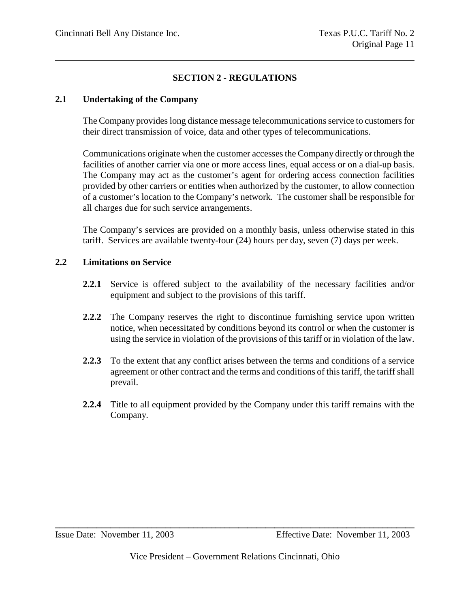# **SECTION 2 - REGULATIONS**

#### **2.1 Undertaking of the Company**

The Company provides long distance message telecommunications service to customers for their direct transmission of voice, data and other types of telecommunications.

Communications originate when the customer accesses the Company directly or through the facilities of another carrier via one or more access lines, equal access or on a dial-up basis. The Company may act as the customer's agent for ordering access connection facilities provided by other carriers or entities when authorized by the customer, to allow connection of a customer's location to the Company's network. The customer shall be responsible for all charges due for such service arrangements.

The Company's services are provided on a monthly basis, unless otherwise stated in this tariff. Services are available twenty-four (24) hours per day, seven (7) days per week.

#### **2.2 Limitations on Service**

- **2.2.1** Service is offered subject to the availability of the necessary facilities and/or equipment and subject to the provisions of this tariff.
- **2.2.2** The Company reserves the right to discontinue furnishing service upon written notice, when necessitated by conditions beyond its control or when the customer is using the service in violation of the provisions of this tariff or in violation of the law.
- **2.2.3** To the extent that any conflict arises between the terms and conditions of a service agreement or other contract and the terms and conditions of this tariff, the tariff shall prevail.
- **2.2.4** Title to all equipment provided by the Company under this tariff remains with the Company.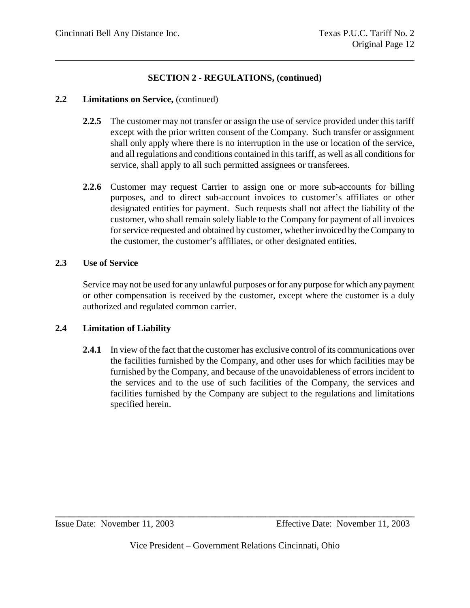#### **2.2 Limitations on Service,** (continued)

- **2.2.5** The customer may not transfer or assign the use of service provided under this tariff except with the prior written consent of the Company. Such transfer or assignment shall only apply where there is no interruption in the use or location of the service, and all regulations and conditions contained in this tariff, as well as all conditions for service, shall apply to all such permitted assignees or transferees.
- **2.2.6** Customer may request Carrier to assign one or more sub-accounts for billing purposes, and to direct sub-account invoices to customer's affiliates or other designated entities for payment. Such requests shall not affect the liability of the customer, who shall remain solely liable to the Company for payment of all invoices for service requested and obtained by customer, whether invoiced by the Company to the customer, the customer's affiliates, or other designated entities.

#### **2.3 Use of Service**

Service may not be used for any unlawful purposes or for any purpose for which any payment or other compensation is received by the customer, except where the customer is a duly authorized and regulated common carrier.

# **2.4 Limitation of Liability**

**2.4.1** In view of the fact that the customer has exclusive control of its communications over the facilities furnished by the Company, and other uses for which facilities may be furnished by the Company, and because of the unavoidableness of errors incident to the services and to the use of such facilities of the Company, the services and facilities furnished by the Company are subject to the regulations and limitations specified herein.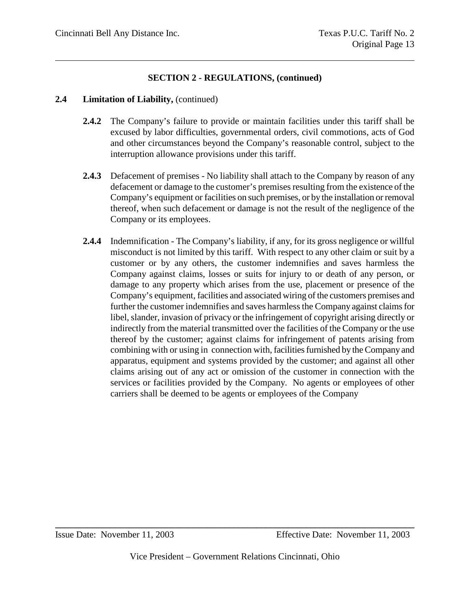#### **2.4 Limitation of Liability,** (continued)

- **2.4.2** The Company's failure to provide or maintain facilities under this tariff shall be excused by labor difficulties, governmental orders, civil commotions, acts of God and other circumstances beyond the Company's reasonable control, subject to the interruption allowance provisions under this tariff.
- **2.4.3** Defacement of premises No liability shall attach to the Company by reason of any defacement or damage to the customer's premises resulting from the existence of the Company's equipment or facilities on such premises, or by the installation or removal thereof, when such defacement or damage is not the result of the negligence of the Company or its employees.
- **2.4.4** Indemnification The Company's liability, if any, for its gross negligence or willful misconduct is not limited by this tariff. With respect to any other claim or suit by a customer or by any others, the customer indemnifies and saves harmless the Company against claims, losses or suits for injury to or death of any person, or damage to any property which arises from the use, placement or presence of the Company's equipment, facilities and associated wiring of the customers premises and further the customer indemnifies and saves harmless the Company against claims for libel, slander, invasion of privacy or the infringement of copyright arising directly or indirectly from the material transmitted over the facilities of the Company or the use thereof by the customer; against claims for infringement of patents arising from combining with or using in connection with, facilities furnished by the Company and apparatus, equipment and systems provided by the customer; and against all other claims arising out of any act or omission of the customer in connection with the services or facilities provided by the Company. No agents or employees of other carriers shall be deemed to be agents or employees of the Company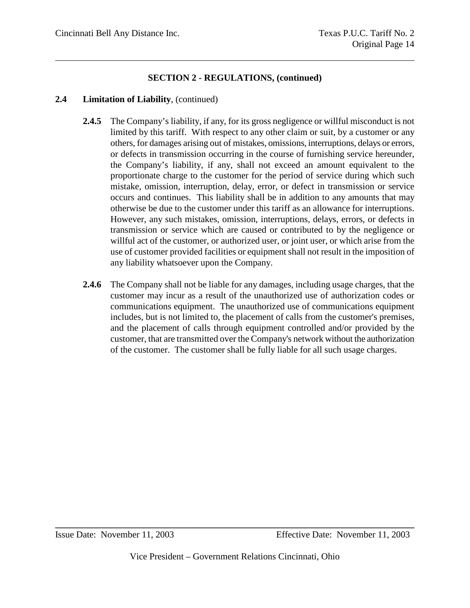#### **2.4 Limitation of Liability**, (continued)

- **2.4.5** The Company's liability, if any, for its gross negligence or willful misconduct is not limited by this tariff. With respect to any other claim or suit, by a customer or any others, for damages arising out of mistakes, omissions, interruptions, delays or errors, or defects in transmission occurring in the course of furnishing service hereunder, the Company's liability, if any, shall not exceed an amount equivalent to the proportionate charge to the customer for the period of service during which such mistake, omission, interruption, delay, error, or defect in transmission or service occurs and continues. This liability shall be in addition to any amounts that may otherwise be due to the customer under this tariff as an allowance for interruptions. However, any such mistakes, omission, interruptions, delays, errors, or defects in transmission or service which are caused or contributed to by the negligence or willful act of the customer, or authorized user, or joint user, or which arise from the use of customer provided facilities or equipment shall not result in the imposition of any liability whatsoever upon the Company.
- **2.4.6** The Company shall not be liable for any damages, including usage charges, that the customer may incur as a result of the unauthorized use of authorization codes or communications equipment. The unauthorized use of communications equipment includes, but is not limited to, the placement of calls from the customer's premises, and the placement of calls through equipment controlled and/or provided by the customer, that are transmitted over the Company's network without the authorization of the customer. The customer shall be fully liable for all such usage charges.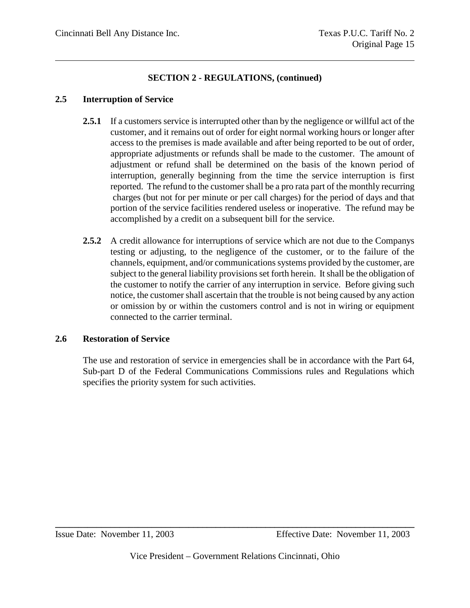#### **2.5 Interruption of Service**

- **2.5.1** If a customers service is interrupted other than by the negligence or willful act of the customer, and it remains out of order for eight normal working hours or longer after access to the premises is made available and after being reported to be out of order, appropriate adjustments or refunds shall be made to the customer. The amount of adjustment or refund shall be determined on the basis of the known period of interruption, generally beginning from the time the service interruption is first reported. The refund to the customer shall be a pro rata part of the monthly recurring charges (but not for per minute or per call charges) for the period of days and that portion of the service facilities rendered useless or inoperative. The refund may be accomplished by a credit on a subsequent bill for the service.
- **2.5.2** A credit allowance for interruptions of service which are not due to the Companys testing or adjusting, to the negligence of the customer, or to the failure of the channels, equipment, and/or communications systems provided by the customer, are subject to the general liability provisions set forth herein. It shall be the obligation of the customer to notify the carrier of any interruption in service. Before giving such notice, the customer shall ascertain that the trouble is not being caused by any action or omission by or within the customers control and is not in wiring or equipment connected to the carrier terminal.

#### **2.6 Restoration of Service**

The use and restoration of service in emergencies shall be in accordance with the Part 64, Sub-part D of the Federal Communications Commissions rules and Regulations which specifies the priority system for such activities.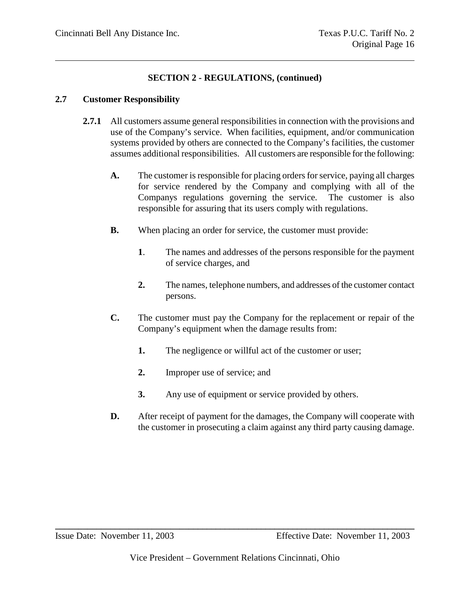#### **2.7 Customer Responsibility**

- **2.7.1** All customers assume general responsibilities in connection with the provisions and use of the Company's service. When facilities, equipment, and/or communication systems provided by others are connected to the Company's facilities, the customer assumes additional responsibilities. All customers are responsible for the following:
	- **A.** The customer is responsible for placing orders for service, paying all charges for service rendered by the Company and complying with all of the Companys regulations governing the service. The customer is also responsible for assuring that its users comply with regulations.
	- **B.** When placing an order for service, the customer must provide:
		- **1**. The names and addresses of the persons responsible for the payment of service charges, and
		- **2.** The names, telephone numbers, and addresses of the customer contact persons.
	- **C.** The customer must pay the Company for the replacement or repair of the Company's equipment when the damage results from:
		- **1.** The negligence or willful act of the customer or user;
		- **2.** Improper use of service; and
		- **3.** Any use of equipment or service provided by others.
	- **D.** After receipt of payment for the damages, the Company will cooperate with the customer in prosecuting a claim against any third party causing damage.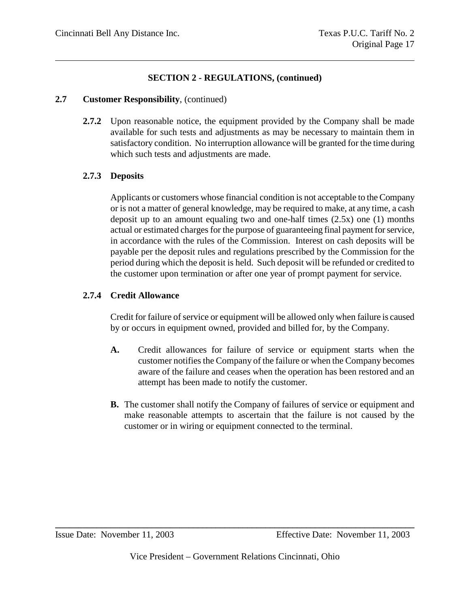#### **2.7 Customer Responsibility**, (continued)

**2.7.2** Upon reasonable notice, the equipment provided by the Company shall be made available for such tests and adjustments as may be necessary to maintain them in satisfactory condition. No interruption allowance will be granted for the time during which such tests and adjustments are made.

# **2.7.3 Deposits**

Applicants or customers whose financial condition is not acceptable to the Company or is not a matter of general knowledge, may be required to make, at any time, a cash deposit up to an amount equaling two and one-half times (2.5x) one (1) months actual or estimated charges for the purpose of guaranteeing final payment for service, in accordance with the rules of the Commission. Interest on cash deposits will be payable per the deposit rules and regulations prescribed by the Commission for the period during which the deposit is held. Such deposit will be refunded or credited to the customer upon termination or after one year of prompt payment for service.

# **2.7.4 Credit Allowance**

Credit for failure of service or equipment will be allowed only when failure is caused by or occurs in equipment owned, provided and billed for, by the Company.

- **A.** Credit allowances for failure of service or equipment starts when the customer notifies the Company of the failure or when the Company becomes aware of the failure and ceases when the operation has been restored and an attempt has been made to notify the customer.
- **B.** The customer shall notify the Company of failures of service or equipment and make reasonable attempts to ascertain that the failure is not caused by the customer or in wiring or equipment connected to the terminal.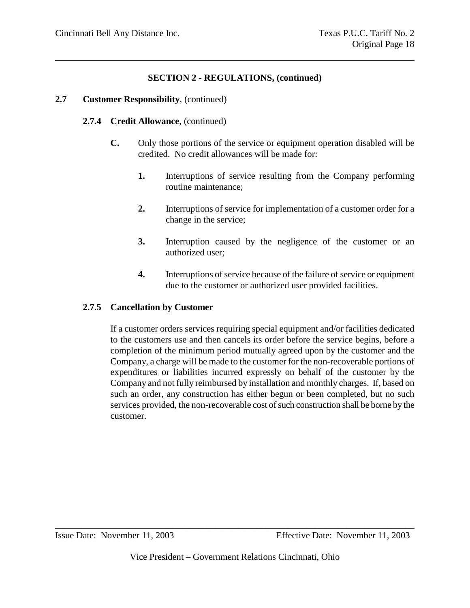#### **2.7 Customer Responsibility**, (continued)

#### **2.7.4 Credit Allowance**, (continued)

- **C.** Only those portions of the service or equipment operation disabled will be credited. No credit allowances will be made for:
	- **1.** Interruptions of service resulting from the Company performing routine maintenance;
	- **2.** Interruptions of service for implementation of a customer order for a change in the service;
	- **3.** Interruption caused by the negligence of the customer or an authorized user;
	- **4.** Interruptions of service because of the failure of service or equipment due to the customer or authorized user provided facilities.

#### **2.7.5 Cancellation by Customer**

If a customer orders services requiring special equipment and/or facilities dedicated to the customers use and then cancels its order before the service begins, before a completion of the minimum period mutually agreed upon by the customer and the Company, a charge will be made to the customer for the non-recoverable portions of expenditures or liabilities incurred expressly on behalf of the customer by the Company and not fully reimbursed by installation and monthly charges. If, based on such an order, any construction has either begun or been completed, but no such services provided, the non-recoverable cost of such construction shall be borne by the customer.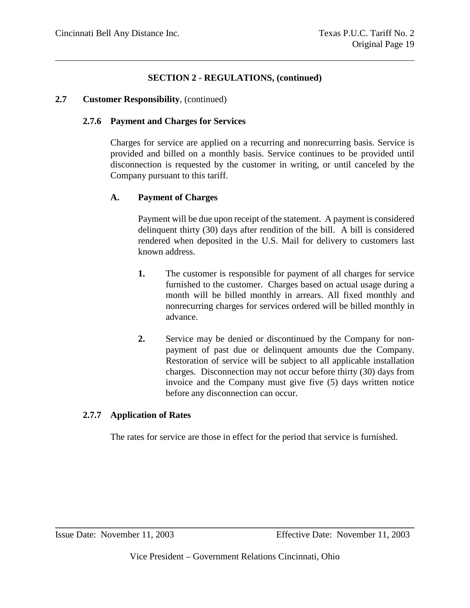#### **2.7 Customer Responsibility**, (continued)

#### **2.7.6 Payment and Charges for Services**

Charges for service are applied on a recurring and nonrecurring basis. Service is provided and billed on a monthly basis. Service continues to be provided until disconnection is requested by the customer in writing, or until canceled by the Company pursuant to this tariff.

# **A. Payment of Charges**

Payment will be due upon receipt of the statement. A payment is considered delinquent thirty (30) days after rendition of the bill. A bill is considered rendered when deposited in the U.S. Mail for delivery to customers last known address.

- **1.** The customer is responsible for payment of all charges for service furnished to the customer. Charges based on actual usage during a month will be billed monthly in arrears. All fixed monthly and nonrecurring charges for services ordered will be billed monthly in advance.
- **2.** Service may be denied or discontinued by the Company for nonpayment of past due or delinquent amounts due the Company. Restoration of service will be subject to all applicable installation charges. Disconnection may not occur before thirty (30) days from invoice and the Company must give five (5) days written notice before any disconnection can occur.

# **2.7.7 Application of Rates**

The rates for service are those in effect for the period that service is furnished.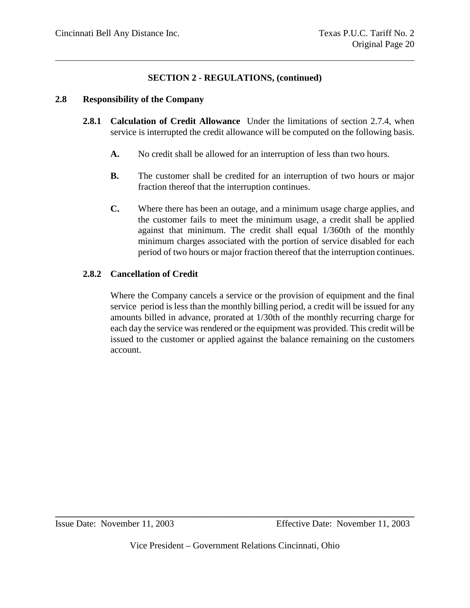#### **2.8 Responsibility of the Company**

- **2.8.1 Calculation of Credit Allowance** Under the limitations of section 2.7.4, when service is interrupted the credit allowance will be computed on the following basis.
	- **A.** No credit shall be allowed for an interruption of less than two hours.
	- **B.** The customer shall be credited for an interruption of two hours or major fraction thereof that the interruption continues.
	- **C.** Where there has been an outage, and a minimum usage charge applies, and the customer fails to meet the minimum usage, a credit shall be applied against that minimum. The credit shall equal 1/360th of the monthly minimum charges associated with the portion of service disabled for each period of two hours or major fraction thereof that the interruption continues.

# **2.8.2 Cancellation of Credit**

Where the Company cancels a service or the provision of equipment and the final service period is less than the monthly billing period, a credit will be issued for any amounts billed in advance, prorated at 1/30th of the monthly recurring charge for each day the service was rendered or the equipment was provided. This credit will be issued to the customer or applied against the balance remaining on the customers account.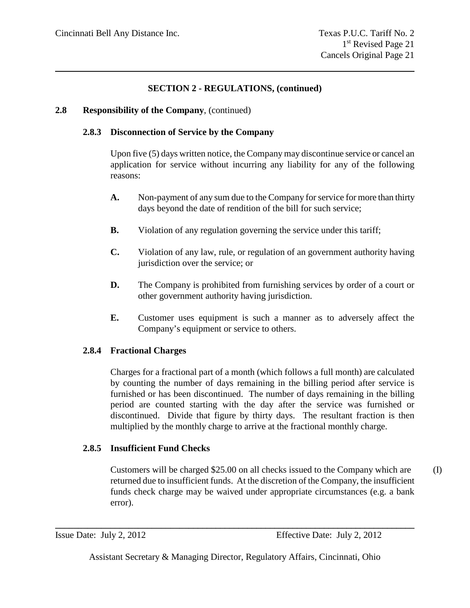# **2.8 Responsibility of the Company**, (continued)

# **2.8.3 Disconnection of Service by the Company**

Upon five (5) days written notice, the Company may discontinue service or cancel an application for service without incurring any liability for any of the following reasons:

- **A.** Non-payment of any sum due to the Company for service for more than thirty days beyond the date of rendition of the bill for such service;
- **B.** Violation of any regulation governing the service under this tariff;
- **C.** Violation of any law, rule, or regulation of an government authority having jurisdiction over the service; or
- **D.** The Company is prohibited from furnishing services by order of a court or other government authority having jurisdiction.
- **E.** Customer uses equipment is such a manner as to adversely affect the Company's equipment or service to others.

# **2.8.4 Fractional Charges**

Charges for a fractional part of a month (which follows a full month) are calculated by counting the number of days remaining in the billing period after service is furnished or has been discontinued. The number of days remaining in the billing period are counted starting with the day after the service was furnished or discontinued. Divide that figure by thirty days. The resultant fraction is then multiplied by the monthly charge to arrive at the fractional monthly charge.

# **2.8.5 Insufficient Fund Checks**

Customers will be charged \$25.00 on all checks issued to the Company which are (I) returned due to insufficient funds. At the discretion of the Company, the insufficient funds check charge may be waived under appropriate circumstances (e.g. a bank error).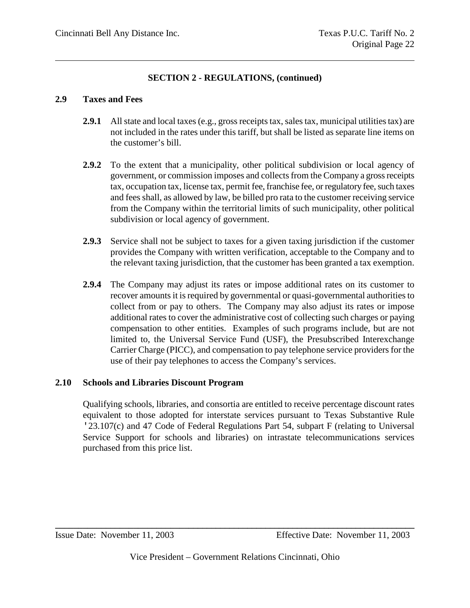#### **2.9 Taxes and Fees**

- **2.9.1** All state and local taxes (e.g., gross receipts tax, sales tax, municipal utilities tax) are not included in the rates under this tariff, but shall be listed as separate line items on the customer's bill.
- **2.9.2** To the extent that a municipality, other political subdivision or local agency of government, or commission imposes and collects from the Company a gross receipts tax, occupation tax, license tax, permit fee, franchise fee, or regulatory fee, such taxes and fees shall, as allowed by law, be billed pro rata to the customer receiving service from the Company within the territorial limits of such municipality, other political subdivision or local agency of government.
- **2.9.3** Service shall not be subject to taxes for a given taxing jurisdiction if the customer provides the Company with written verification, acceptable to the Company and to the relevant taxing jurisdiction, that the customer has been granted a tax exemption.
- **2.9.4** The Company may adjust its rates or impose additional rates on its customer to recover amounts it is required by governmental or quasi-governmental authorities to collect from or pay to others. The Company may also adjust its rates or impose additional rates to cover the administrative cost of collecting such charges or paying compensation to other entities. Examples of such programs include, but are not limited to, the Universal Service Fund (USF), the Presubscribed Interexchange Carrier Charge (PICC), and compensation to pay telephone service providers for the use of their pay telephones to access the Company's services.

# **2.10 Schools and Libraries Discount Program**

Qualifying schools, libraries, and consortia are entitled to receive percentage discount rates equivalent to those adopted for interstate services pursuant to Texas Substantive Rule '23.107(c) and 47 Code of Federal Regulations Part 54, subpart F (relating to Universal Service Support for schools and libraries) on intrastate telecommunications services purchased from this price list.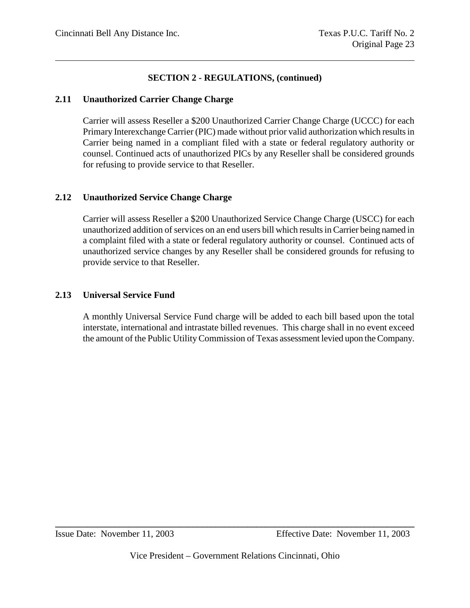#### **2.11 Unauthorized Carrier Change Charge**

Carrier will assess Reseller a \$200 Unauthorized Carrier Change Charge (UCCC) for each Primary Interexchange Carrier (PIC) made without prior valid authorization which results in Carrier being named in a compliant filed with a state or federal regulatory authority or counsel. Continued acts of unauthorized PICs by any Reseller shall be considered grounds for refusing to provide service to that Reseller.

#### **2.12 Unauthorized Service Change Charge**

Carrier will assess Reseller a \$200 Unauthorized Service Change Charge (USCC) for each unauthorized addition of services on an end users bill which results in Carrier being named in a complaint filed with a state or federal regulatory authority or counsel. Continued acts of unauthorized service changes by any Reseller shall be considered grounds for refusing to provide service to that Reseller.

#### **2.13 Universal Service Fund**

A monthly Universal Service Fund charge will be added to each bill based upon the total interstate, international and intrastate billed revenues. This charge shall in no event exceed the amount of the Public Utility Commission of Texas assessment levied upon the Company.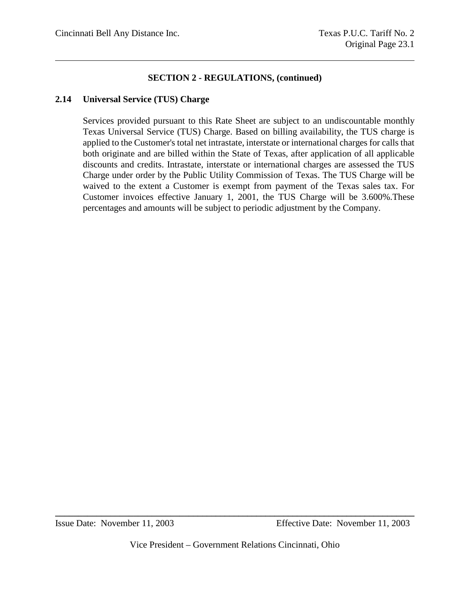#### **2.14 Universal Service (TUS) Charge**

Services provided pursuant to this Rate Sheet are subject to an undiscountable monthly Texas Universal Service (TUS) Charge. Based on billing availability, the TUS charge is applied to the Customer's total net intrastate, interstate or international charges for calls that both originate and are billed within the State of Texas, after application of all applicable discounts and credits. Intrastate, interstate or international charges are assessed the TUS Charge under order by the Public Utility Commission of Texas. The TUS Charge will be waived to the extent a Customer is exempt from payment of the Texas sales tax. For Customer invoices effective January 1, 2001, the TUS Charge will be 3.600%.These percentages and amounts will be subject to periodic adjustment by the Company.

Issue Date: November 11, 2003 Effective Date: November 11, 2003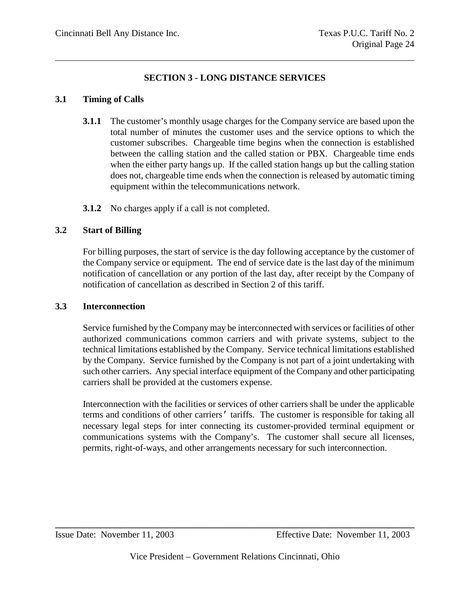# **SECTION 3 - LONG DISTANCE SERVICES**

# **3.1 Timing of Calls**

- **3.1.1** The customer's monthly usage charges for the Company service are based upon the total number of minutes the customer uses and the service options to which the customer subscribes. Chargeable time begins when the connection is established between the calling station and the called station or PBX. Chargeable time ends when the either party hangs up. If the called station hangs up but the calling station does not, chargeable time ends when the connection is released by automatic timing equipment within the telecommunications network.
- **3.1.2** No charges apply if a call is not completed.

# **3.2 Start of Billing**

For billing purposes, the start of service is the day following acceptance by the customer of the Company service or equipment. The end of service date is the last day of the minimum notification of cancellation or any portion of the last day, after receipt by the Company of notification of cancellation as described in Section 2 of this tariff.

# **3.3 Interconnection**

Service furnished by the Company may be interconnected with services or facilities of other authorized communications common carriers and with private systems, subject to the technical limitations established by the Company. Service technical limitations established by the Company. Service furnished by the Company is not part of a joint undertaking with such other carriers. Any special interface equipment of the Company and other participating carriers shall be provided at the customers expense.

Interconnection with the facilities or services of other carriers shall be under the applicable terms and conditions of other carriers' tariffs. The customer is responsible for taking all necessary legal steps for inter connecting its customer-provided terminal equipment or communications systems with the Company's. The customer shall secure all licenses, permits, right-of-ways, and other arrangements necessary for such interconnection.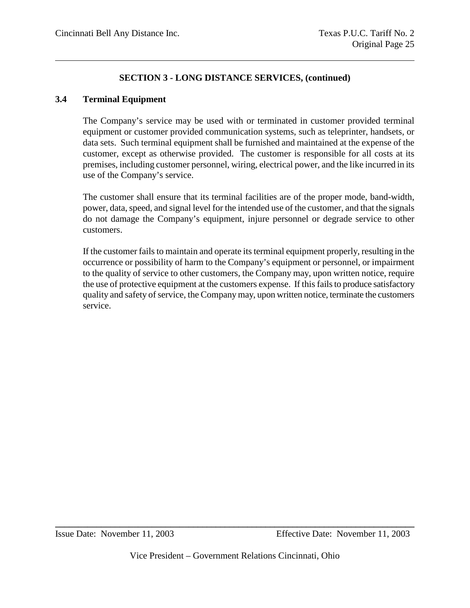#### **3.4 Terminal Equipment**

The Company's service may be used with or terminated in customer provided terminal equipment or customer provided communication systems, such as teleprinter, handsets, or data sets. Such terminal equipment shall be furnished and maintained at the expense of the customer, except as otherwise provided. The customer is responsible for all costs at its premises, including customer personnel, wiring, electrical power, and the like incurred in its use of the Company's service.

The customer shall ensure that its terminal facilities are of the proper mode, band-width, power, data, speed, and signal level for the intended use of the customer, and that the signals do not damage the Company's equipment, injure personnel or degrade service to other customers.

If the customer fails to maintain and operate its terminal equipment properly, resulting in the occurrence or possibility of harm to the Company's equipment or personnel, or impairment to the quality of service to other customers, the Company may, upon written notice, require the use of protective equipment at the customers expense. If this fails to produce satisfactory quality and safety of service, the Company may, upon written notice, terminate the customers service.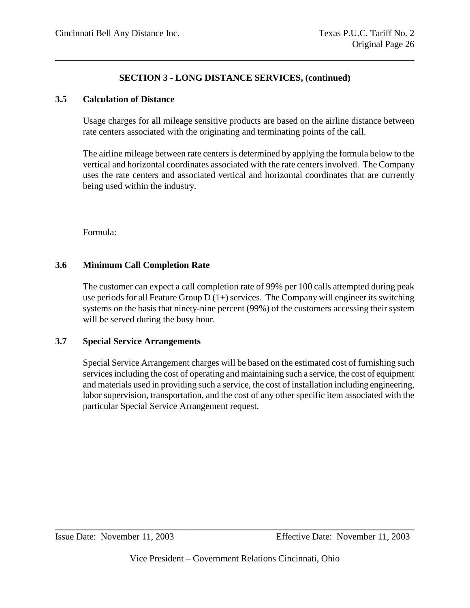#### **3.5 Calculation of Distance**

Usage charges for all mileage sensitive products are based on the airline distance between rate centers associated with the originating and terminating points of the call.

The airline mileage between rate centers is determined by applying the formula below to the vertical and horizontal coordinates associated with the rate centers involved. The Company uses the rate centers and associated vertical and horizontal coordinates that are currently being used within the industry.

Formula:

# **3.6 Minimum Call Completion Rate**

The customer can expect a call completion rate of 99% per 100 calls attempted during peak use periods for all Feature Group  $D(1+)$  services. The Company will engineer its switching systems on the basis that ninety-nine percent (99%) of the customers accessing their system will be served during the busy hour.

#### **3.7 Special Service Arrangements**

Special Service Arrangement charges will be based on the estimated cost of furnishing such services including the cost of operating and maintaining such a service, the cost of equipment and materials used in providing such a service, the cost of installation including engineering, labor supervision, transportation, and the cost of any other specific item associated with the particular Special Service Arrangement request.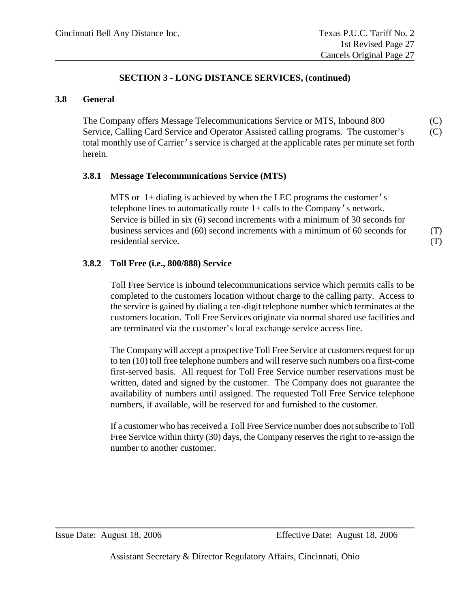#### **3.8 General**

The Company offers Message Telecommunications Service or MTS, Inbound 800 (C) Service, Calling Card Service and Operator Assisted calling programs. The customer's (C) total monthly use of Carrier's service is charged at the applicable rates per minute set forth herein.

#### **3.8.1 Message Telecommunications Service (MTS)**

MTS or 1+ dialing is achieved by when the LEC programs the customer's telephone lines to automatically route 1+ calls to the Company's network. Service is billed in six (6) second increments with a minimum of 30 seconds for business services and (60) second increments with a minimum of 60 seconds for (T) residential service. (T)

#### **3.8.2 Toll Free (i.e., 800/888) Service**

Toll Free Service is inbound telecommunications service which permits calls to be completed to the customers location without charge to the calling party. Access to the service is gained by dialing a ten-digit telephone number which terminates at the customers location. Toll Free Services originate via normal shared use facilities and are terminated via the customer's local exchange service access line.

The Company will accept a prospective Toll Free Service at customers request for up to ten (10) toll free telephone numbers and will reserve such numbers on a first-come first-served basis. All request for Toll Free Service number reservations must be written, dated and signed by the customer. The Company does not guarantee the availability of numbers until assigned. The requested Toll Free Service telephone numbers, if available, will be reserved for and furnished to the customer.

If a customer who has received a Toll Free Service number does not subscribe to Toll Free Service within thirty (30) days, the Company reserves the right to re-assign the number to another customer.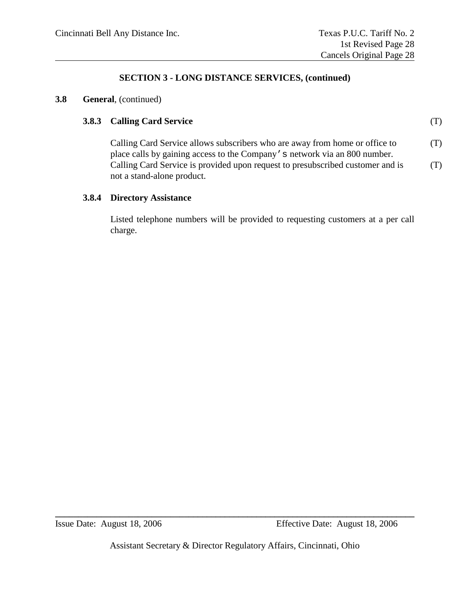#### **3.8 General**, (continued)

#### **3.8.3 Calling Card Service** (T)

Calling Card Service allows subscribers who are away from home or office to  $(T)$ place calls by gaining access to the Company's network via an 800 number. Calling Card Service is provided upon request to presubscribed customer and is  $(1)$ not a stand-alone product.

#### **3.8.4 Directory Assistance**

Listed telephone numbers will be provided to requesting customers at a per call charge.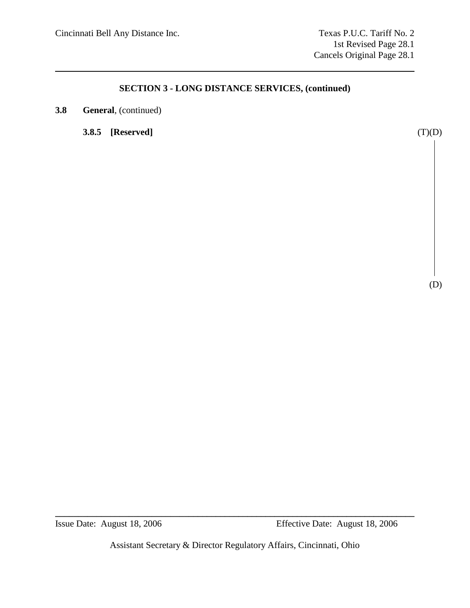**3.8 General**, (continued)

**3.8.5 [Reserved]** (T)(D)

(D)

Assistant Secretary & Director Regulatory Affairs, Cincinnati, Ohio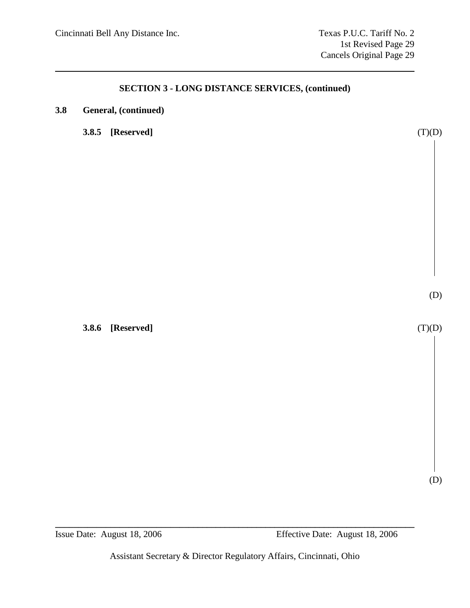| 3.8 |  | General, (continued) |
|-----|--|----------------------|
|-----|--|----------------------|

**3.8.5 [Reserved]** (T)(D)

**3.8.6 [Reserved]** (T)(D)

(D)

(D)

**\_\_\_\_\_\_\_\_\_\_\_\_\_\_\_\_\_\_\_\_\_\_\_\_\_\_\_\_\_\_\_\_\_\_\_\_\_\_\_\_\_\_\_\_\_\_\_\_\_\_\_\_\_\_\_\_\_\_\_\_\_\_\_\_\_\_\_\_\_\_\_\_\_\_\_\_\_\_\_**

Assistant Secretary & Director Regulatory Affairs, Cincinnati, Ohio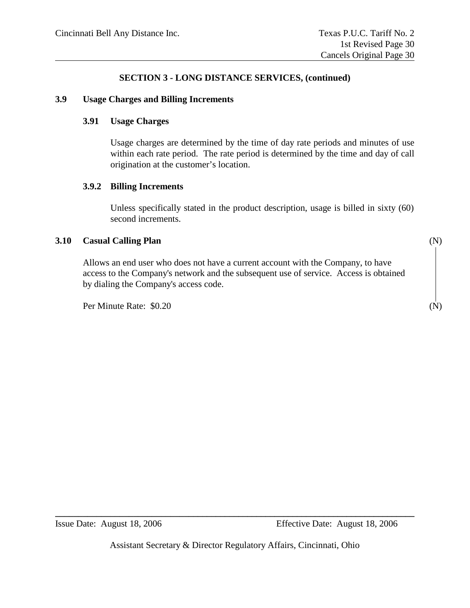#### **3.9 Usage Charges and Billing Increments**

#### **3.91 Usage Charges**

Usage charges are determined by the time of day rate periods and minutes of use within each rate period. The rate period is determined by the time and day of call origination at the customer's location.

#### **3.9.2 Billing Increments**

Unless specifically stated in the product description, usage is billed in sixty (60) second increments.

#### **3.10 Casual Calling Plan** (N)

Allows an end user who does not have a current account with the Company, to have access to the Company's network and the subsequent use of service. Access is obtained by dialing the Company's access code.

Per Minute Rate: \$0.20 (N)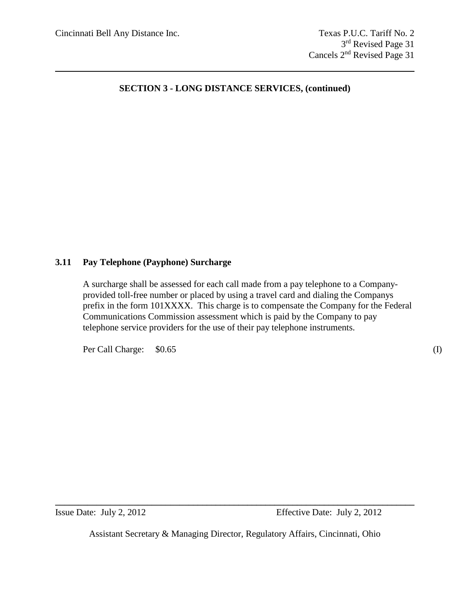#### **3.11 Pay Telephone (Payphone) Surcharge**

A surcharge shall be assessed for each call made from a pay telephone to a Companyprovided toll-free number or placed by using a travel card and dialing the Companys prefix in the form 101XXXX. This charge is to compensate the Company for the Federal Communications Commission assessment which is paid by the Company to pay telephone service providers for the use of their pay telephone instruments.

Per Call Charge:  $$0.65$  (I)

Assistant Secretary & Managing Director, Regulatory Affairs, Cincinnati, Ohio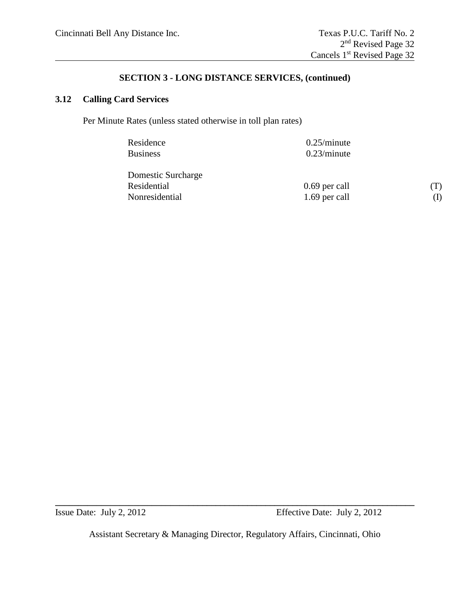# **3.12 Calling Card Services**

Per Minute Rates (unless stated otherwise in toll plan rates)

| Residence<br><b>Business</b> | $0.25/m$ inute<br>$0.23/m$ inute |     |
|------------------------------|----------------------------------|-----|
| Domestic Surcharge           |                                  |     |
| Residential                  | 0.69 per call                    | (T) |
| Nonresidential               | 1.69 per call                    | (I) |

Assistant Secretary & Managing Director, Regulatory Affairs, Cincinnati, Ohio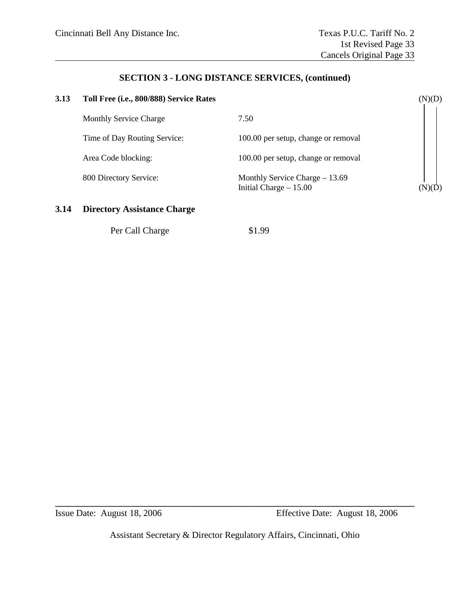# **3.13 Toll Free (i.e., 800/888) Service Rates** (N)(D) Monthly Service Charge 7.50 Time of Day Routing Service: 100.00 per setup, change or removal Area Code blocking: 100.00 per setup, change or removal 800 Directory Service: Monthly Service Charge – 13.69 Initial Charge – 15.00 (N)( $\overrightarrow{D}$ )

#### **3.14 Directory Assistance Charge**

Per Call Charge \$1.99

Assistant Secretary & Director Regulatory Affairs, Cincinnati, Ohio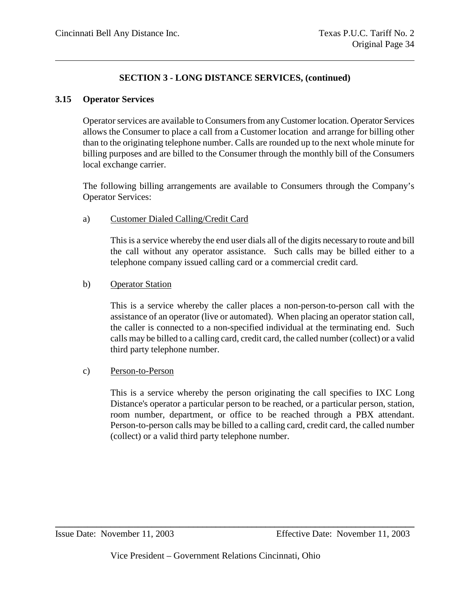#### **3.15 Operator Services**

Operator services are available to Consumers from any Customer location. Operator Services allows the Consumer to place a call from a Customer location and arrange for billing other than to the originating telephone number. Calls are rounded up to the next whole minute for billing purposes and are billed to the Consumer through the monthly bill of the Consumers local exchange carrier.

The following billing arrangements are available to Consumers through the Company's Operator Services:

### a) Customer Dialed Calling/Credit Card

This is a service whereby the end user dials all of the digits necessary to route and bill the call without any operator assistance. Such calls may be billed either to a telephone company issued calling card or a commercial credit card.

### b) Operator Station

This is a service whereby the caller places a non-person-to-person call with the assistance of an operator (live or automated). When placing an operator station call, the caller is connected to a non-specified individual at the terminating end. Such calls may be billed to a calling card, credit card, the called number (collect) or a valid third party telephone number.

#### c) Person-to-Person

This is a service whereby the person originating the call specifies to IXC Long Distance's operator a particular person to be reached, or a particular person, station, room number, department, or office to be reached through a PBX attendant. Person-to-person calls may be billed to a calling card, credit card, the called number (collect) or a valid third party telephone number.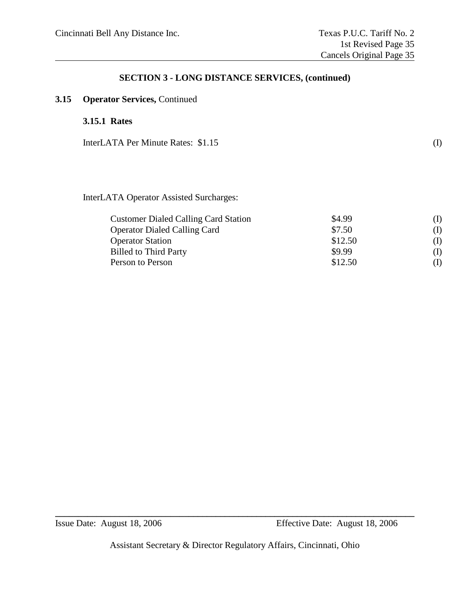## **3.15 Operator Services,** Continued

## **3.15.1 Rates**

InterLATA Per Minute Rates: \$1.15 (I)

InterLATA Operator Assisted Surcharges:

| <b>Customer Dialed Calling Card Station</b> | \$4.99  | (I) |
|---------------------------------------------|---------|-----|
| <b>Operator Dialed Calling Card</b>         | \$7.50  | (I) |
| <b>Operator Station</b>                     | \$12.50 | (I) |
| <b>Billed to Third Party</b>                | \$9.99  | (I) |
| Person to Person                            | \$12.50 | (I) |

Assistant Secretary & Director Regulatory Affairs, Cincinnati, Ohio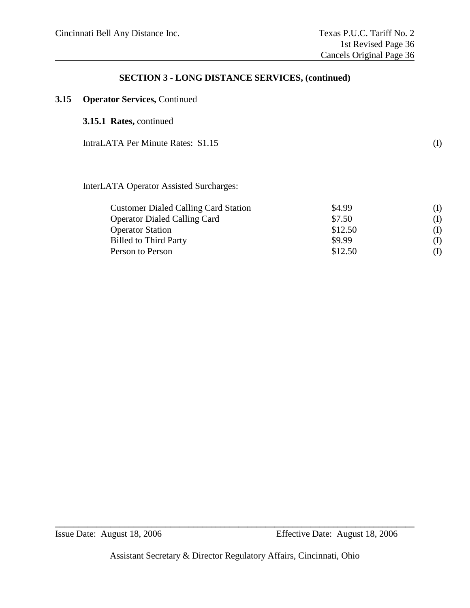## **3.15 Operator Services,** Continued

### **3.15.1 Rates,** continued

IntraLATA Per Minute Rates: \$1.15 (I)

InterLATA Operator Assisted Surcharges:

| <b>Customer Dialed Calling Card Station</b> | \$4.99  | (I) |
|---------------------------------------------|---------|-----|
| <b>Operator Dialed Calling Card</b>         | \$7.50  | (I) |
| <b>Operator Station</b>                     | \$12.50 | (I) |
| <b>Billed to Third Party</b>                | \$9.99  | (I) |
| Person to Person                            | \$12.50 | (I) |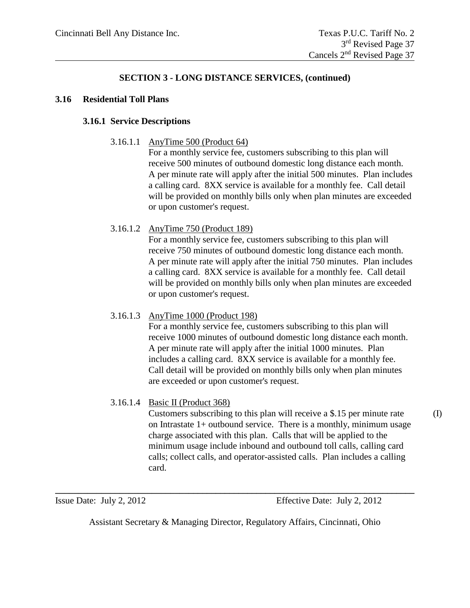#### **3.16 Residential Toll Plans**

### **3.16.1 Service Descriptions**

3.16.1.1 AnyTime 500 (Product 64)

For a monthly service fee, customers subscribing to this plan will receive 500 minutes of outbound domestic long distance each month. A per minute rate will apply after the initial 500 minutes. Plan includes a calling card. 8XX service is available for a monthly fee. Call detail will be provided on monthly bills only when plan minutes are exceeded or upon customer's request.

3.16.1.2 AnyTime 750 (Product 189)

For a monthly service fee, customers subscribing to this plan will receive 750 minutes of outbound domestic long distance each month. A per minute rate will apply after the initial 750 minutes. Plan includes a calling card. 8XX service is available for a monthly fee. Call detail will be provided on monthly bills only when plan minutes are exceeded or upon customer's request.

### 3.16.1.3 AnyTime 1000 (Product 198)

For a monthly service fee, customers subscribing to this plan will receive 1000 minutes of outbound domestic long distance each month. A per minute rate will apply after the initial 1000 minutes. Plan includes a calling card. 8XX service is available for a monthly fee. Call detail will be provided on monthly bills only when plan minutes are exceeded or upon customer's request.

### 3.16.1.4 Basic II (Product 368)

Customers subscribing to this plan will receive a \$.15 per minute rate (I) on Intrastate 1+ outbound service. There is a monthly, minimum usage charge associated with this plan. Calls that will be applied to the minimum usage include inbound and outbound toll calls, calling card calls; collect calls, and operator-assisted calls. Plan includes a calling card.

Issue Date: July 2, 2012 Effective Date: July 2, 2012

Assistant Secretary & Managing Director, Regulatory Affairs, Cincinnati, Ohio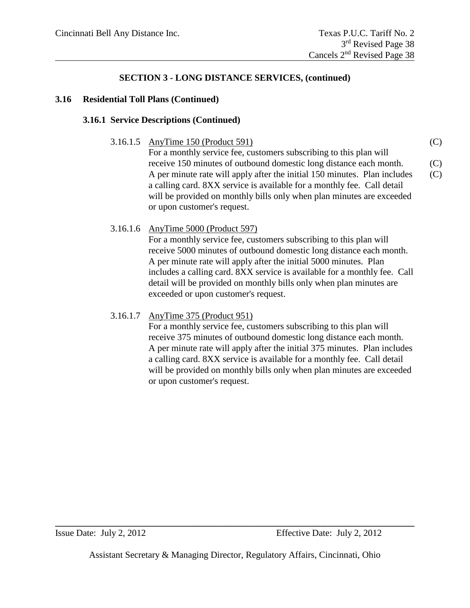### **3.16 Residential Toll Plans (Continued)**

### **3.16.1 Service Descriptions (Continued)**

3.16.1.5 AnyTime 150 (Product 591) (C)

For a monthly service fee, customers subscribing to this plan will receive 150 minutes of outbound domestic long distance each month. (C) A per minute rate will apply after the initial 150 minutes. Plan includes (C) a calling card. 8XX service is available for a monthly fee. Call detail will be provided on monthly bills only when plan minutes are exceeded or upon customer's request.

### 3.16.1.6 AnyTime 5000 (Product 597)

For a monthly service fee, customers subscribing to this plan will receive 5000 minutes of outbound domestic long distance each month. A per minute rate will apply after the initial 5000 minutes. Plan includes a calling card. 8XX service is available for a monthly fee. Call detail will be provided on monthly bills only when plan minutes are exceeded or upon customer's request.

### 3.16.1.7 AnyTime 375 (Product 951)

For a monthly service fee, customers subscribing to this plan will receive 375 minutes of outbound domestic long distance each month. A per minute rate will apply after the initial 375 minutes. Plan includes a calling card. 8XX service is available for a monthly fee. Call detail will be provided on monthly bills only when plan minutes are exceeded or upon customer's request.

Assistant Secretary & Managing Director, Regulatory Affairs, Cincinnati, Ohio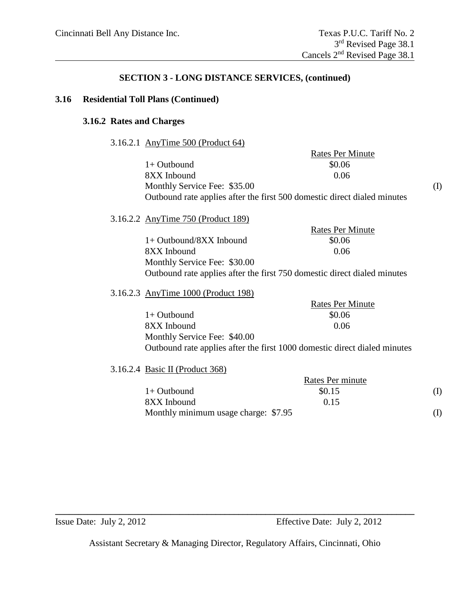#### **3.16 Residential Toll Plans (Continued)**

### **3.16.2 Rates and Charges**

3.16.2.1 AnyTime 500 (Product 64)

|                                                                          | <b>Rates Per Minute</b> |  |
|--------------------------------------------------------------------------|-------------------------|--|
| $1+$ Outbound                                                            | \$0.06                  |  |
| 8XX Inbound                                                              | 0.06                    |  |
| Monthly Service Fee: \$35.00                                             |                         |  |
| Outbound rate applies after the first 500 domestic direct dialed minutes |                         |  |

## 3.16.2.2 AnyTime 750 (Product 189)

|                                                                          | <b>Rates Per Minute</b> |
|--------------------------------------------------------------------------|-------------------------|
| $1+$ Outbound/8XX Inbound                                                | \$0.06                  |
| 8XX Inbound                                                              | 0.06                    |
| Monthly Service Fee: \$30.00                                             |                         |
| Outbound rate applies after the first 750 domestic direct dialed minutes |                         |

### 3.16.2.3 AnyTime 1000 (Product 198)

| $1 \text{ m}$ , $1 \text{ m}$ $1 \text{ s}$ $\text{ s}$ $\text{ s}$ $\text{ t}$ $\text{ t}$ $\text{ s}$ $\text{ s}$ |                                                                           |
|---------------------------------------------------------------------------------------------------------------------|---------------------------------------------------------------------------|
|                                                                                                                     | <b>Rates Per Minute</b>                                                   |
| $1+$ Outbound                                                                                                       | \$0.06                                                                    |
| 8XX Inbound                                                                                                         | 0.06                                                                      |
| Monthly Service Fee: \$40.00                                                                                        |                                                                           |
|                                                                                                                     | Outbound rate applies after the first 1000 domestic direct dialed minutes |

#### 3.16.2.4 Basic II (Product 368)

|                                      | Rates Per minute |  |
|--------------------------------------|------------------|--|
| $1+$ Outbound                        | \$0.15           |  |
| 8XX Inbound                          | 0.15             |  |
| Monthly minimum usage charge: \$7.95 |                  |  |

Assistant Secretary & Managing Director, Regulatory Affairs, Cincinnati, Ohio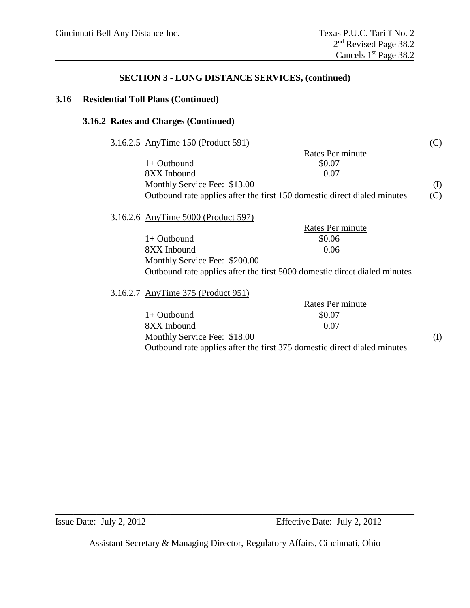## **3.16 Residential Toll Plans (Continued)**

## **3.16.2 Rates and Charges (Continued)**

| 3.16.2.5 AnyTime 150 (Product 591)                                       |                                                                           | (C) |
|--------------------------------------------------------------------------|---------------------------------------------------------------------------|-----|
|                                                                          | Rates Per minute                                                          |     |
| $1+$ Outbound                                                            | \$0.07                                                                    |     |
| 8XX Inbound                                                              | 0.07                                                                      |     |
| Monthly Service Fee: \$13.00                                             |                                                                           | (I) |
| Outbound rate applies after the first 150 domestic direct dialed minutes |                                                                           | (C) |
| 3.16.2.6 AnyTime 5000 (Product 597)                                      |                                                                           |     |
|                                                                          | Rates Per minute                                                          |     |
| $1+$ Outbound                                                            | \$0.06                                                                    |     |
| 8XX Inbound                                                              | 0.06                                                                      |     |
| Monthly Service Fee: \$200.00                                            |                                                                           |     |
|                                                                          | Outbound rate applies after the first 5000 domestic direct dialed minutes |     |
| 3.16.2.7 AnyTime 375 (Product 951)                                       |                                                                           |     |
|                                                                          | Rates Per minute                                                          |     |
| $1+$ Outbound                                                            | \$0.07                                                                    |     |
| 8XX Inbound                                                              | 0.07                                                                      |     |
| Monthly Service Fee: \$18.00                                             |                                                                           | (I) |

Outbound rate applies after the first 375 domestic direct dialed minutes

Assistant Secretary & Managing Director, Regulatory Affairs, Cincinnati, Ohio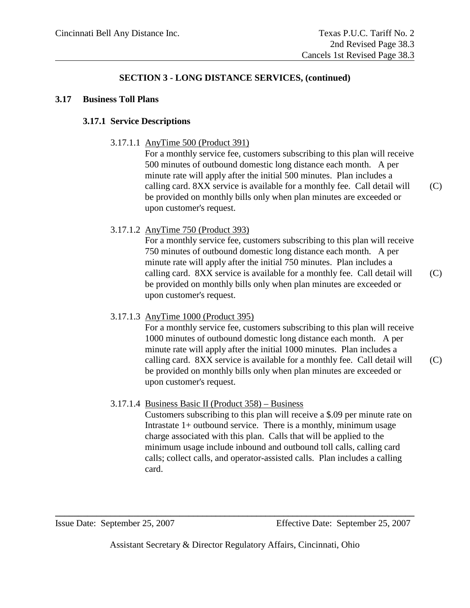#### **3.17 Business Toll Plans**

#### **3.17.1 Service Descriptions**

3.17.1.1 AnyTime 500 (Product 391)

For a monthly service fee, customers subscribing to this plan will receive 500 minutes of outbound domestic long distance each month. A per minute rate will apply after the initial 500 minutes. Plan includes a calling card. 8XX service is available for a monthly fee. Call detail will (C) be provided on monthly bills only when plan minutes are exceeded or upon customer's request.

3.17.1.2 AnyTime 750 (Product 393)

For a monthly service fee, customers subscribing to this plan will receive 750 minutes of outbound domestic long distance each month. A per minute rate will apply after the initial 750 minutes. Plan includes a calling card. 8XX service is available for a monthly fee. Call detail will (C) be provided on monthly bills only when plan minutes are exceeded or upon customer's request.

3.17.1.3 AnyTime 1000 (Product 395)

For a monthly service fee, customers subscribing to this plan will receive 1000 minutes of outbound domestic long distance each month. A per minute rate will apply after the initial 1000 minutes. Plan includes a calling card. 8XX service is available for a monthly fee. Call detail will (C) be provided on monthly bills only when plan minutes are exceeded or upon customer's request.

3.17.1.4 Business Basic II (Product 358) – Business

Customers subscribing to this plan will receive a \$.09 per minute rate on Intrastate  $1+$  outbound service. There is a monthly, minimum usage charge associated with this plan. Calls that will be applied to the minimum usage include inbound and outbound toll calls, calling card calls; collect calls, and operator-assisted calls. Plan includes a calling card.

Issue Date: September 25, 2007 Effective Date: September 25, 2007

Assistant Secretary & Director Regulatory Affairs, Cincinnati, Ohio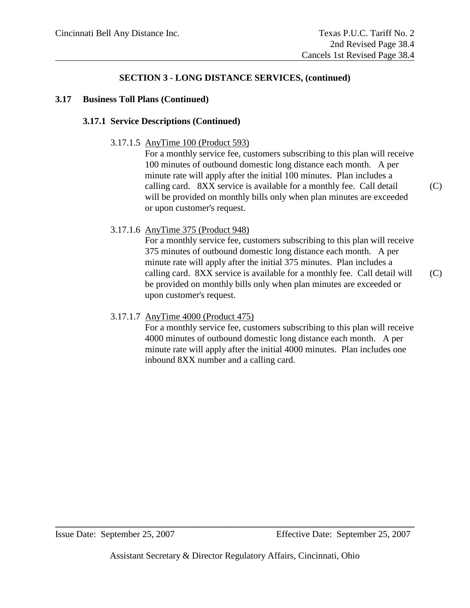#### **3.17 Business Toll Plans (Continued)**

#### **3.17.1 Service Descriptions (Continued)**

3.17.1.5 AnyTime 100 (Product 593)

For a monthly service fee, customers subscribing to this plan will receive 100 minutes of outbound domestic long distance each month. A per minute rate will apply after the initial 100 minutes. Plan includes a calling card. 8XX service is available for a monthly fee. Call detail (C) will be provided on monthly bills only when plan minutes are exceeded or upon customer's request.

### 3.17.1.6 AnyTime 375 (Product 948)

For a monthly service fee, customers subscribing to this plan will receive 375 minutes of outbound domestic long distance each month. A per minute rate will apply after the initial 375 minutes. Plan includes a calling card. 8XX service is available for a monthly fee. Call detail will (C) be provided on monthly bills only when plan minutes are exceeded or upon customer's request.

#### 3.17.1.7 AnyTime 4000 (Product 475)

For a monthly service fee, customers subscribing to this plan will receive 4000 minutes of outbound domestic long distance each month. A per minute rate will apply after the initial 4000 minutes. Plan includes one inbound 8XX number and a calling card.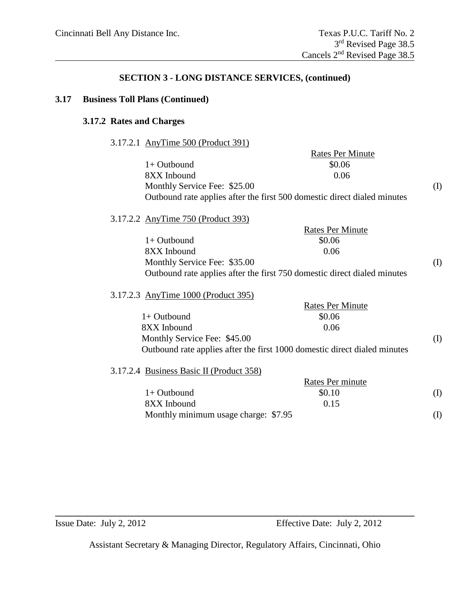## **3.17 Business Toll Plans (Continued)**

## **3.17.2 Rates and Charges**

3.17.2.1 AnyTime 500 (Product 391)

|                                          | <b>Rates Per Minute</b>                                                   |     |
|------------------------------------------|---------------------------------------------------------------------------|-----|
| $1+$ Outbound                            | \$0.06                                                                    |     |
| 8XX Inbound                              | 0.06                                                                      |     |
| Monthly Service Fee: \$25.00             |                                                                           | (I) |
|                                          | Outbound rate applies after the first 500 domestic direct dialed minutes  |     |
| 3.17.2.2 AnyTime 750 (Product 393)       |                                                                           |     |
|                                          | <b>Rates Per Minute</b>                                                   |     |
| $1+$ Outbound                            | \$0.06                                                                    |     |
| 8XX Inbound                              | 0.06                                                                      |     |
| Monthly Service Fee: \$35.00             |                                                                           | (I) |
|                                          | Outbound rate applies after the first 750 domestic direct dialed minutes  |     |
| 3.17.2.3 AnyTime 1000 (Product 395)      |                                                                           |     |
|                                          | <b>Rates Per Minute</b>                                                   |     |
| $1+$ Outbound                            | \$0.06                                                                    |     |
| 8XX Inbound                              | 0.06                                                                      |     |
| Monthly Service Fee: \$45.00             |                                                                           | (I) |
|                                          | Outbound rate applies after the first 1000 domestic direct dialed minutes |     |
| 3.17.2.4 Business Basic II (Product 358) |                                                                           |     |
|                                          | Rates Per minute                                                          |     |
| $1+$ Outbound                            | \$0.10                                                                    | (I) |
| 8XX Inbound                              | 0.15                                                                      |     |
| Monthly minimum usage charge: \$7.95     |                                                                           | (I) |
|                                          |                                                                           |     |

Assistant Secretary & Managing Director, Regulatory Affairs, Cincinnati, Ohio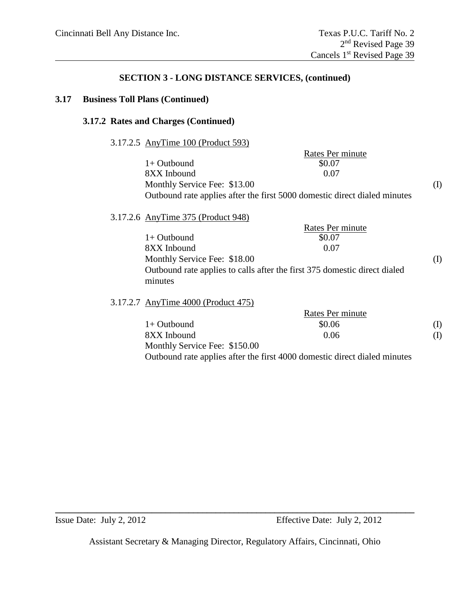#### **3.17 Business Toll Plans (Continued)**

#### **3.17.2 Rates and Charges (Continued)**

#### 3.17.2.5 AnyTime 100 (Product 593)

| Rates Per minute                                                          |     |
|---------------------------------------------------------------------------|-----|
| \$0.07                                                                    |     |
| 0.07                                                                      |     |
|                                                                           | (I) |
| Outbound rate applies after the first 5000 domestic direct dialed minutes |     |
|                                                                           |     |

# 3.17.2.6 AnyTime 375 (Product 948)

|                                                                           | Rates Per minute |     |
|---------------------------------------------------------------------------|------------------|-----|
| $1+$ Outbound                                                             | \$0.07           |     |
| 8XX Inbound                                                               | 0.07             |     |
| Monthly Service Fee: \$18.00                                              |                  | (1) |
| Outbound rate applies to calls after the first 375 domestic direct dialed |                  |     |
| minutes                                                                   |                  |     |

### 3.17.2.7 AnyTime 4000 (Product 475)

|                               | Rates Per minute |          |
|-------------------------------|------------------|----------|
| $1+$ Outbound                 | \$0.06           |          |
| 8XX Inbound                   | 0.06             | $\bf(1)$ |
| Monthly Service Fee: \$150.00 |                  |          |
|                               |                  |          |

Outbound rate applies after the first 4000 domestic direct dialed minutes

Assistant Secretary & Managing Director, Regulatory Affairs, Cincinnati, Ohio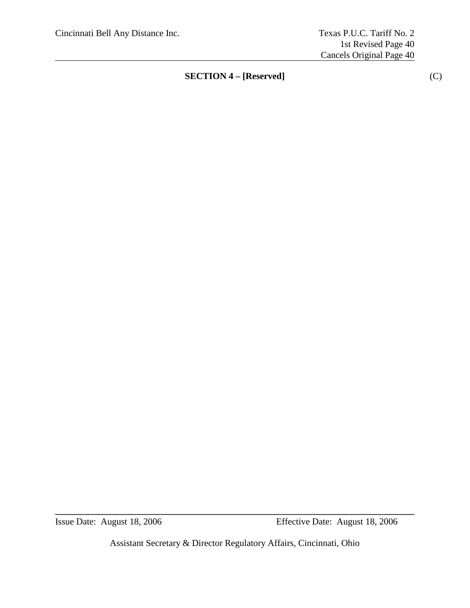Assistant Secretary & Director Regulatory Affairs, Cincinnati, Ohio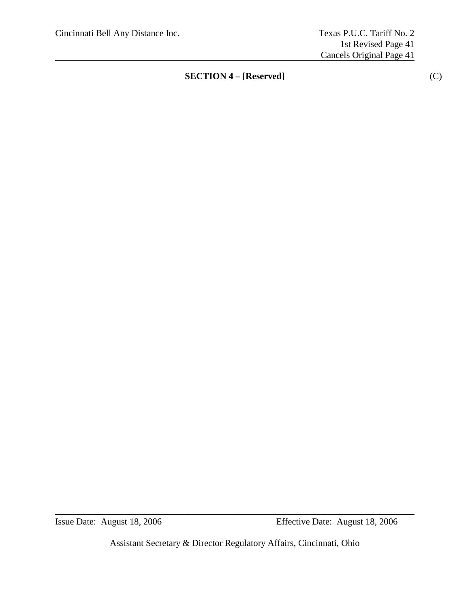Assistant Secretary & Director Regulatory Affairs, Cincinnati, Ohio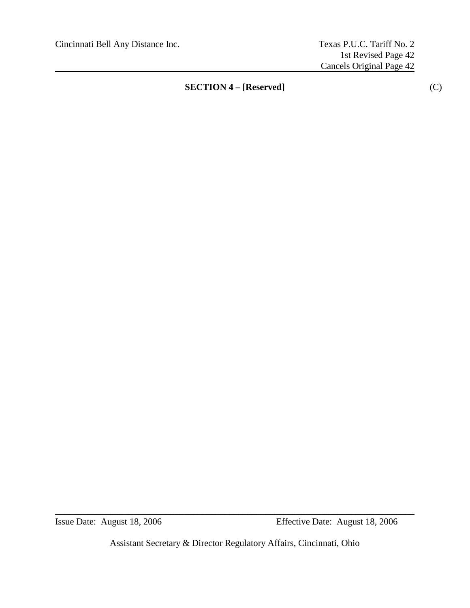Assistant Secretary & Director Regulatory Affairs, Cincinnati, Ohio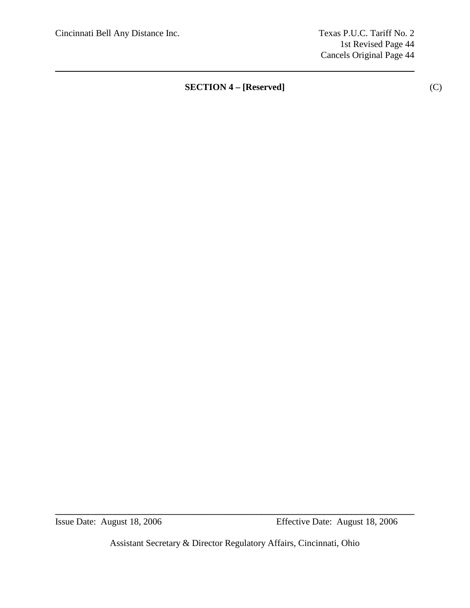1st Revised Page 44 Cancels Original Page 44

**SECTION 4 – [Reserved]** (C)

Assistant Secretary & Director Regulatory Affairs, Cincinnati, Ohio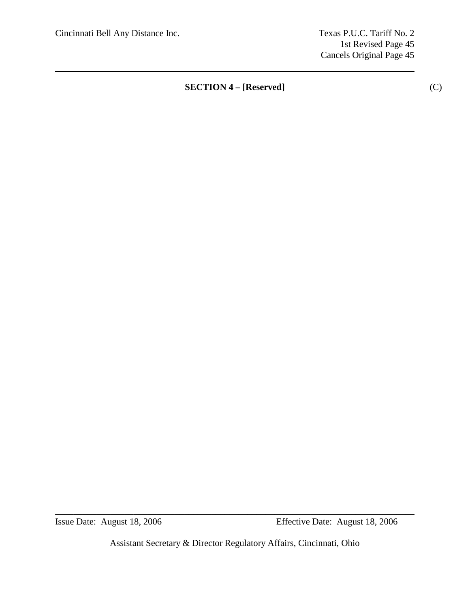1st Revised Page 45 Cancels Original Page 45

**SECTION 4 – [Reserved]** (C)

Assistant Secretary & Director Regulatory Affairs, Cincinnati, Ohio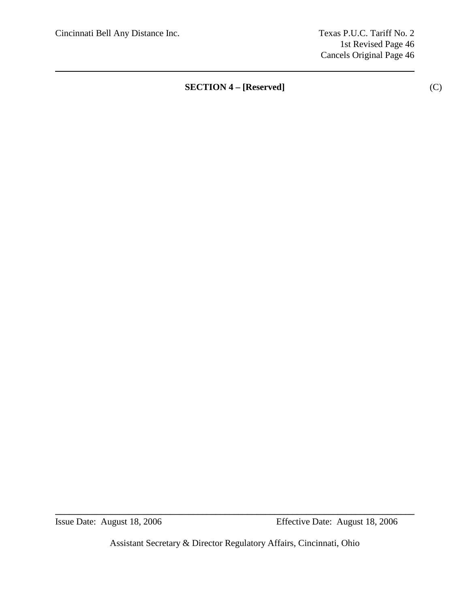1st Revised Page 46 Cancels Original Page 46

**SECTION 4 – [Reserved]** (C)

Assistant Secretary & Director Regulatory Affairs, Cincinnati, Ohio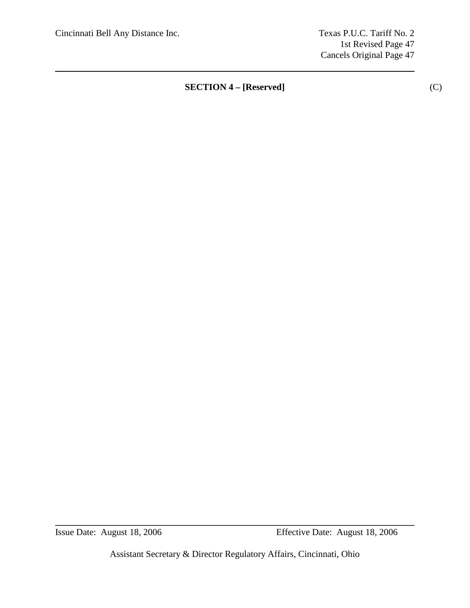1st Revised Page 47 Cancels Original Page 47

**SECTION 4 – [Reserved]** (C)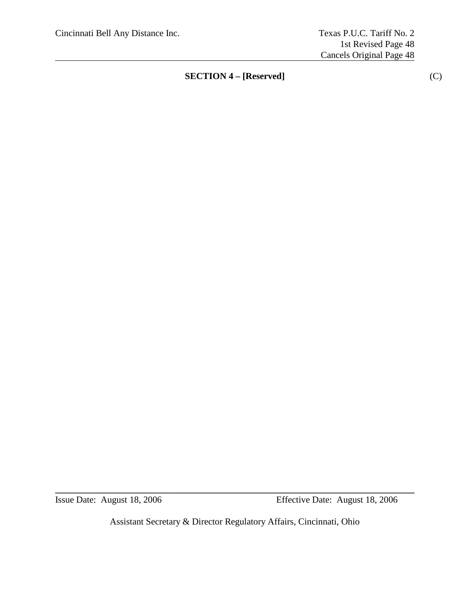Issue Date: August 18, 2006 Effective Date: August 18, 2006

Assistant Secretary & Director Regulatory Affairs, Cincinnati, Ohio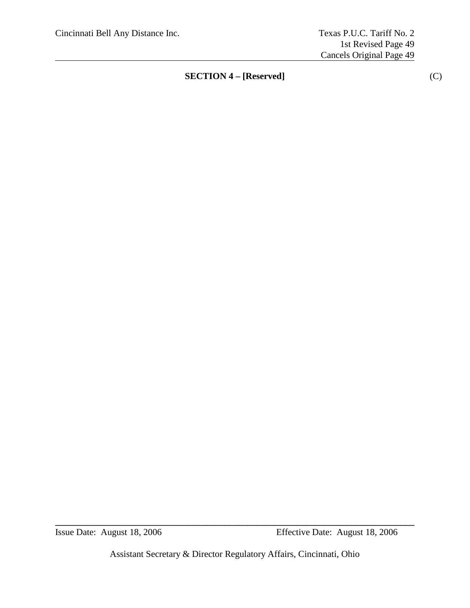Assistant Secretary & Director Regulatory Affairs, Cincinnati, Ohio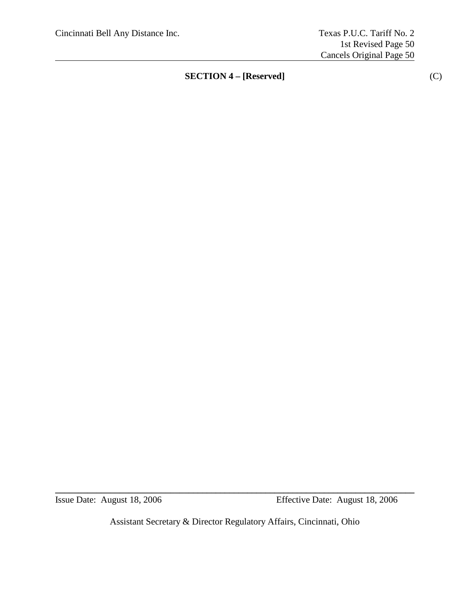Issue Date: August 18, 2006 Effective Date: August 18, 2006

Assistant Secretary & Director Regulatory Affairs, Cincinnati, Ohio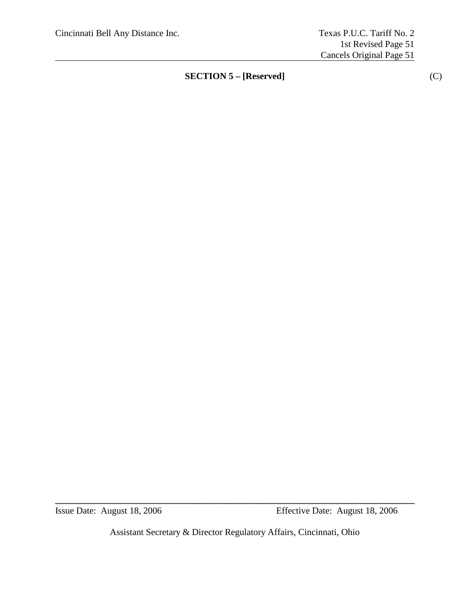Assistant Secretary & Director Regulatory Affairs, Cincinnati, Ohio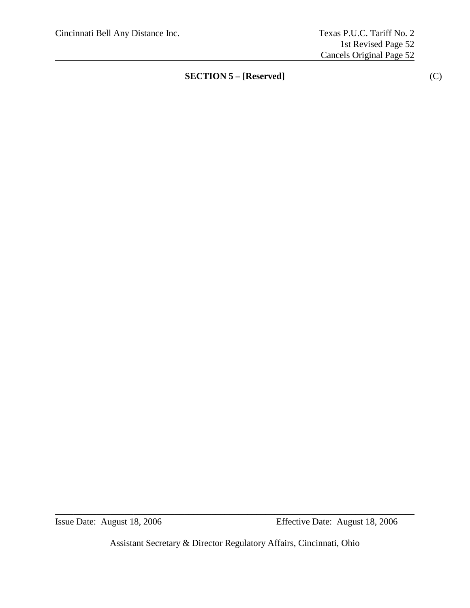Assistant Secretary & Director Regulatory Affairs, Cincinnati, Ohio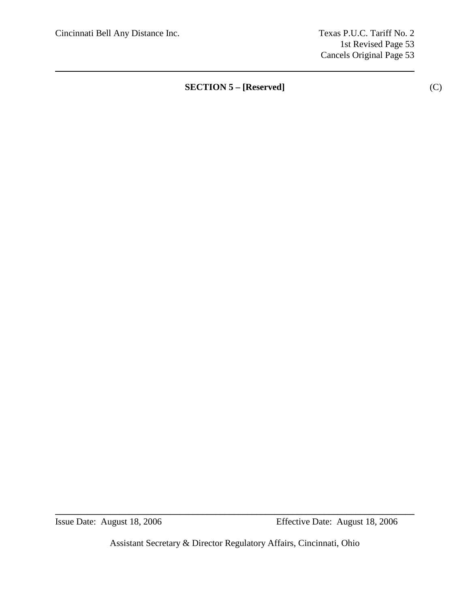1st Revised Page 53 Cancels Original Page 53

**SECTION 5 – [Reserved]** (C)

Assistant Secretary & Director Regulatory Affairs, Cincinnati, Ohio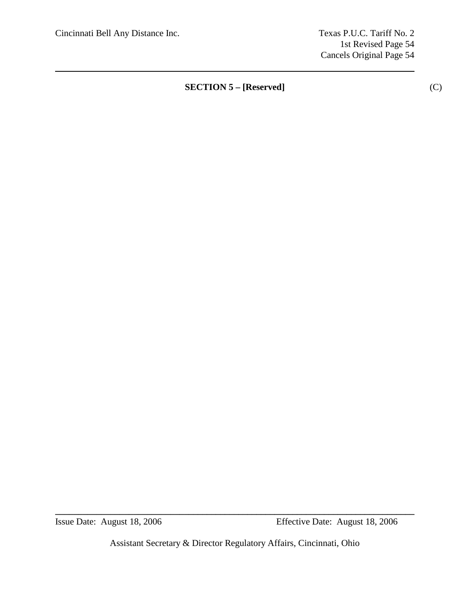1st Revised Page 54 Cancels Original Page 54

**SECTION 5 – [Reserved]** (C)

Assistant Secretary & Director Regulatory Affairs, Cincinnati, Ohio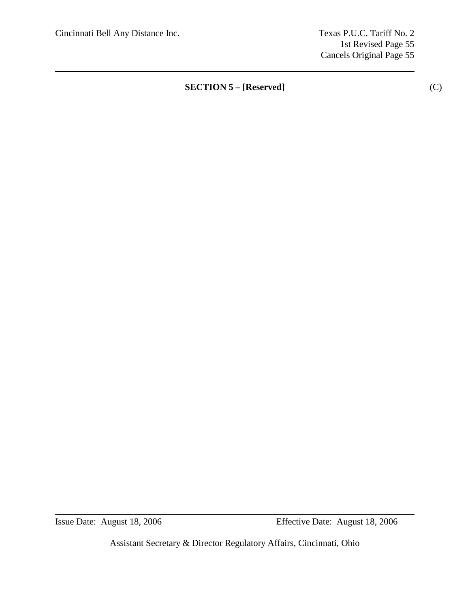1st Revised Page 55 Cancels Original Page 55

**SECTION 5 – [Reserved]** (C)

Assistant Secretary & Director Regulatory Affairs, Cincinnati, Ohio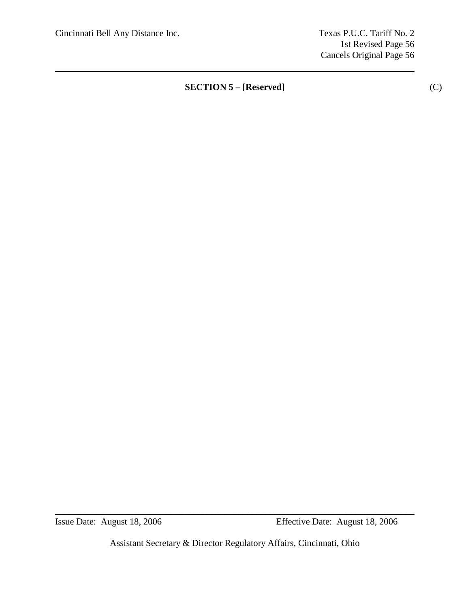1st Revised Page 56 Cancels Original Page 56

**SECTION 5 – [Reserved]** (C)

Assistant Secretary & Director Regulatory Affairs, Cincinnati, Ohio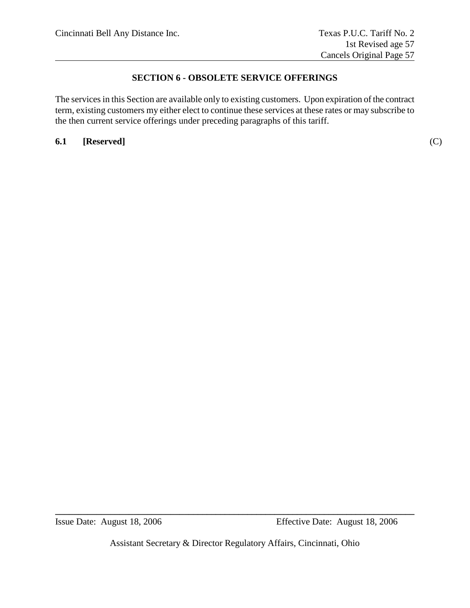# **SECTION 6 - OBSOLETE SERVICE OFFERINGS**

The services in this Section are available only to existing customers. Upon expiration of the contract term, existing customers my either elect to continue these services at these rates or may subscribe to the then current service offerings under preceding paragraphs of this tariff.

**6.1 [Reserved]** (C)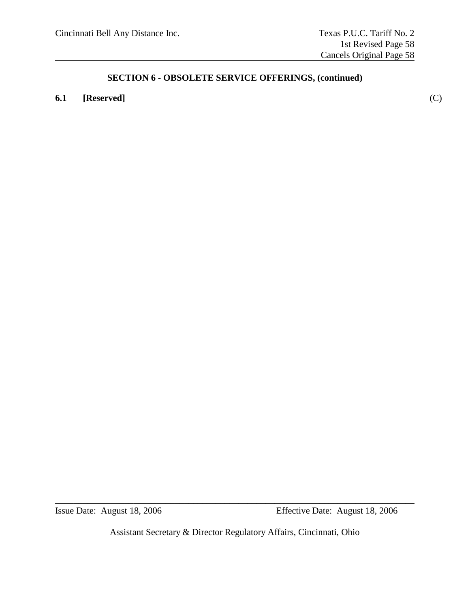# **6.1 [Reserved]** (C)

Assistant Secretary & Director Regulatory Affairs, Cincinnati, Ohio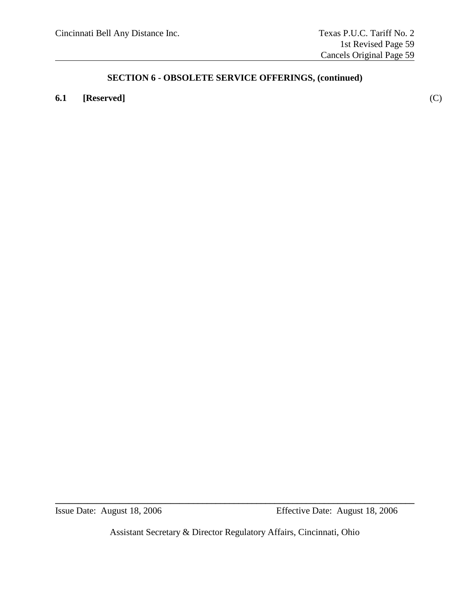# **6.1 [Reserved]** (C)

Assistant Secretary & Director Regulatory Affairs, Cincinnati, Ohio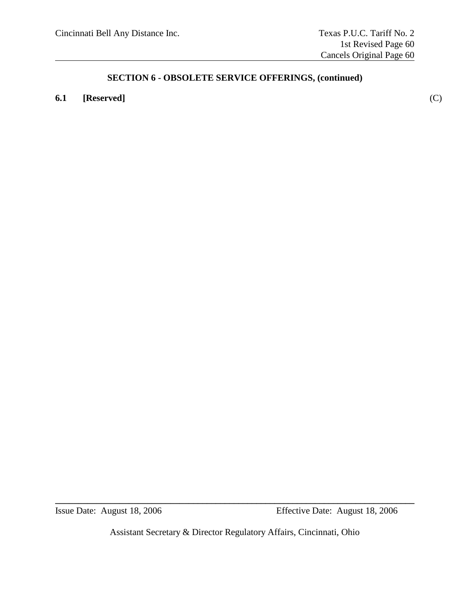# **6.1 [Reserved]** (C)

Assistant Secretary & Director Regulatory Affairs, Cincinnati, Ohio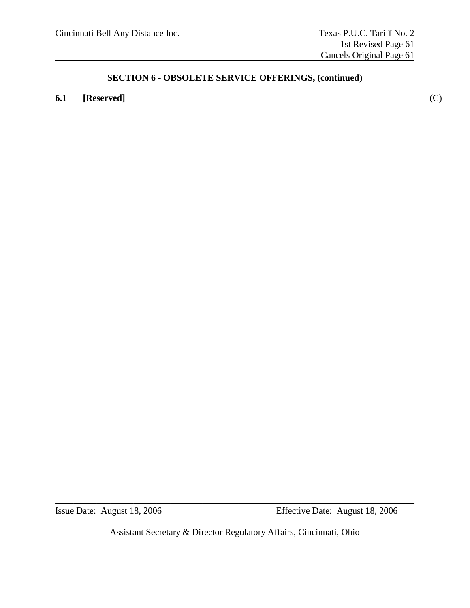# **6.1 [Reserved]** (C)

Assistant Secretary & Director Regulatory Affairs, Cincinnati, Ohio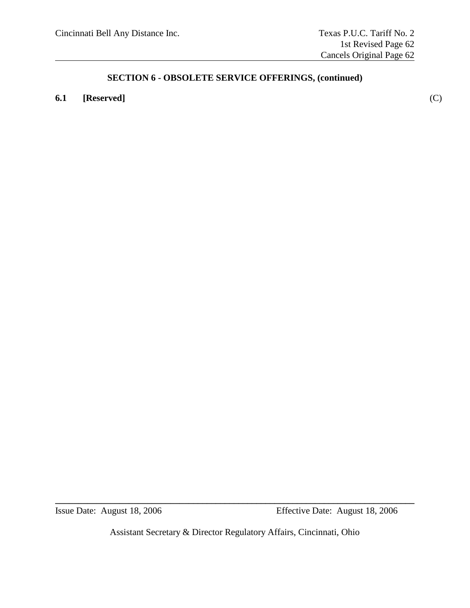# **6.1 [Reserved]** (C)

Assistant Secretary & Director Regulatory Affairs, Cincinnati, Ohio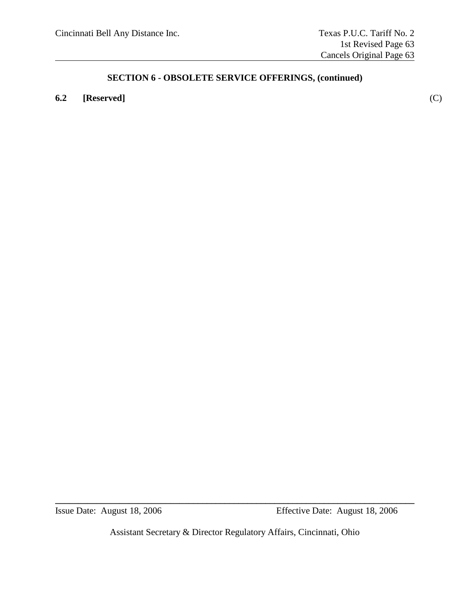# **6.2 [Reserved]** (C)

Assistant Secretary & Director Regulatory Affairs, Cincinnati, Ohio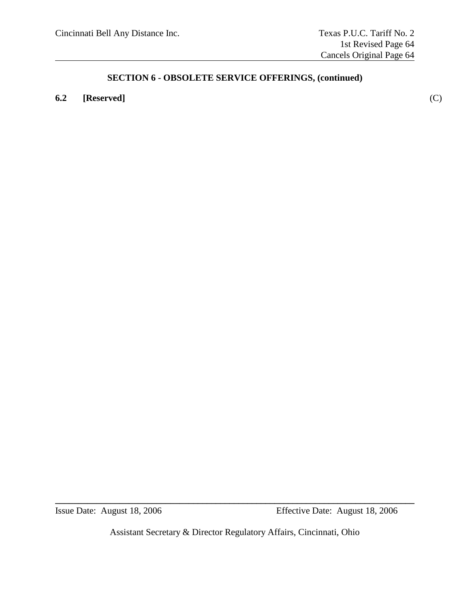# **6.2 [Reserved]** (C)

Assistant Secretary & Director Regulatory Affairs, Cincinnati, Ohio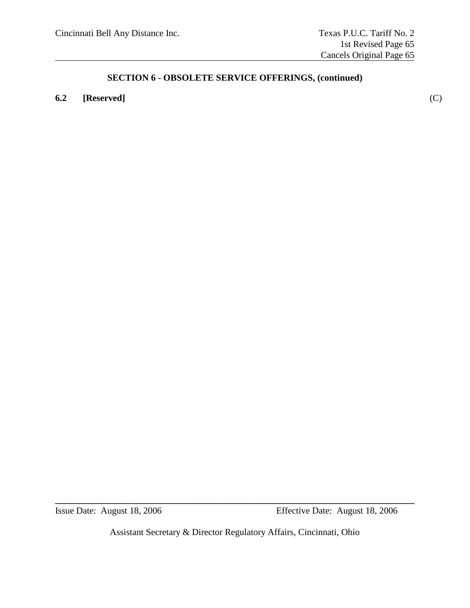### **6.2 [Reserved]** (C)

Assistant Secretary & Director Regulatory Affairs, Cincinnati, Ohio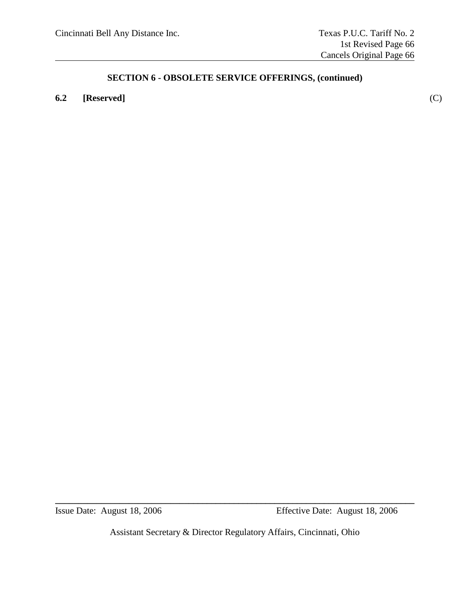### **6.2 [Reserved]** (C)

Assistant Secretary & Director Regulatory Affairs, Cincinnati, Ohio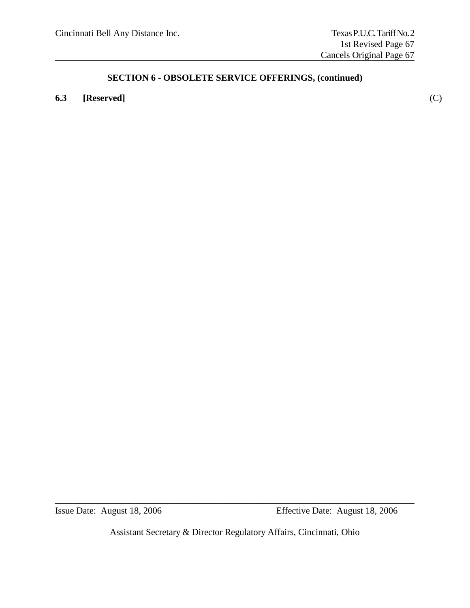### **6.3 [Reserved]** (C)

Assistant Secretary & Director Regulatory Affairs, Cincinnati, Ohio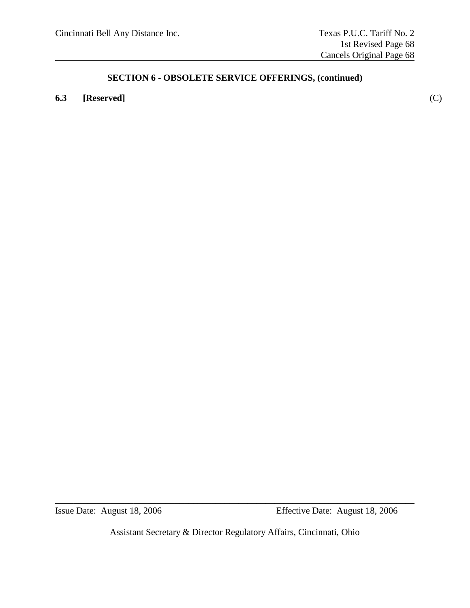### **6.3 [Reserved]** (C)

Assistant Secretary & Director Regulatory Affairs, Cincinnati, Ohio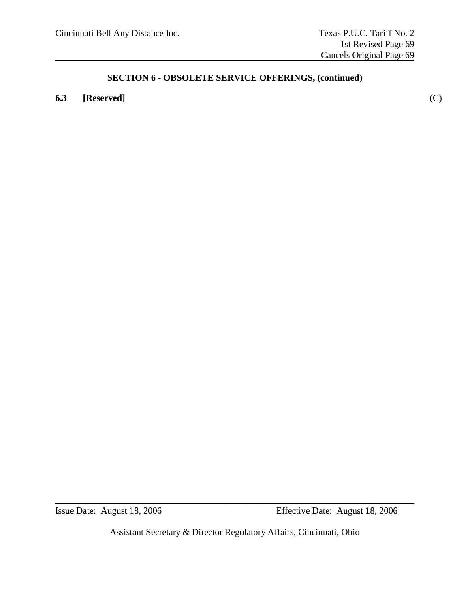### **6.3 [Reserved]** (C)

Assistant Secretary & Director Regulatory Affairs, Cincinnati, Ohio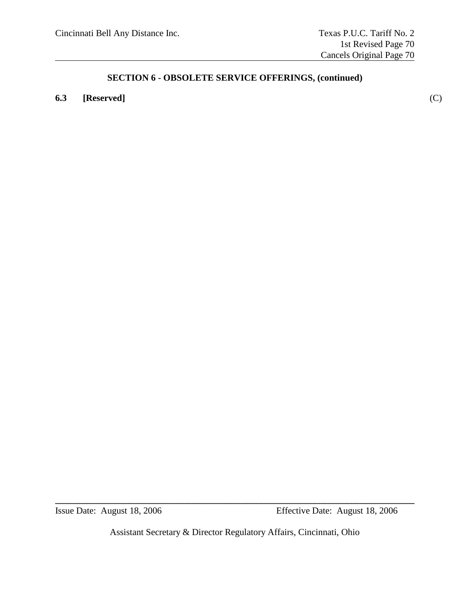### **6.3 [Reserved]** (C)

Assistant Secretary & Director Regulatory Affairs, Cincinnati, Ohio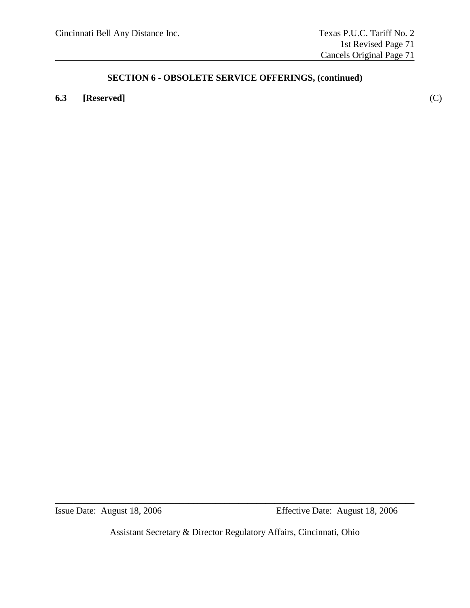### **6.3 [Reserved]** (C)

Assistant Secretary & Director Regulatory Affairs, Cincinnati, Ohio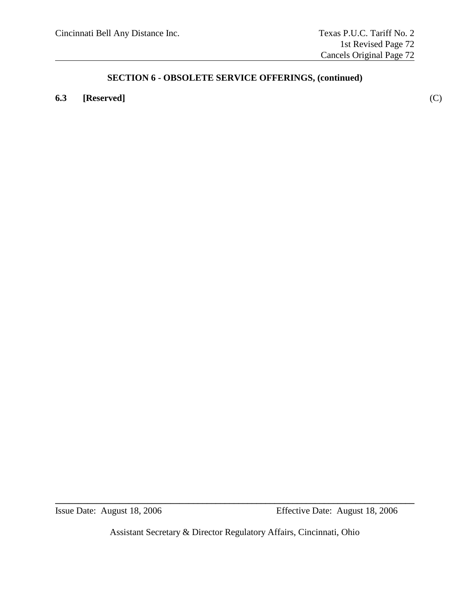### **6.3 [Reserved]** (C)

Assistant Secretary & Director Regulatory Affairs, Cincinnati, Ohio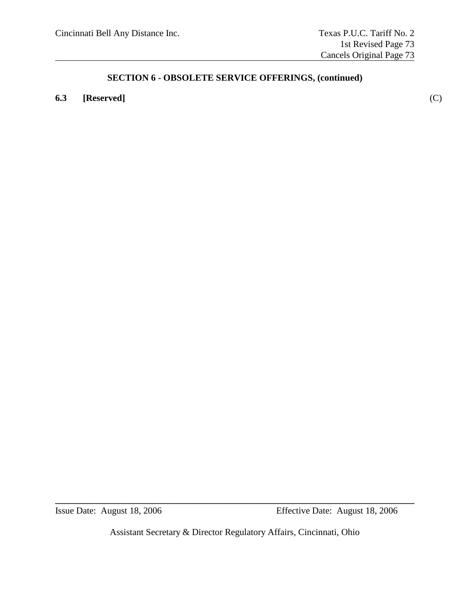### **6.3 [Reserved]** (C)

Assistant Secretary & Director Regulatory Affairs, Cincinnati, Ohio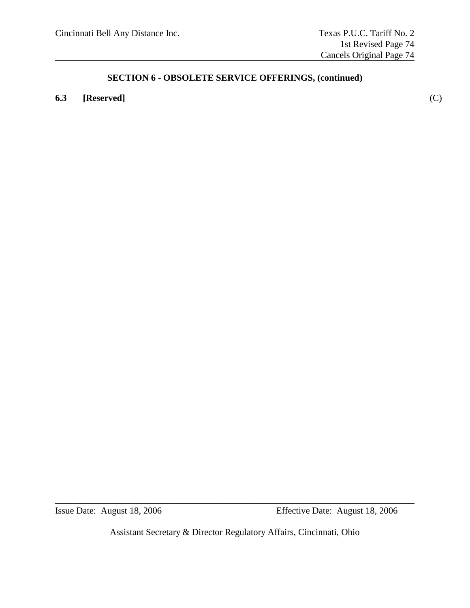### **6.3 [Reserved]** (C)

Assistant Secretary & Director Regulatory Affairs, Cincinnati, Ohio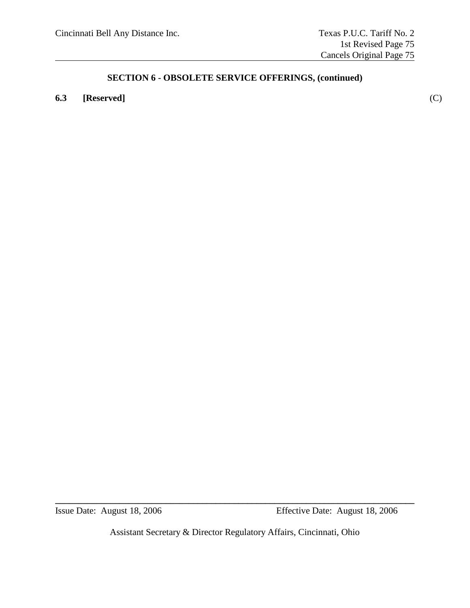### **6.3 [Reserved]** (C)

Assistant Secretary & Director Regulatory Affairs, Cincinnati, Ohio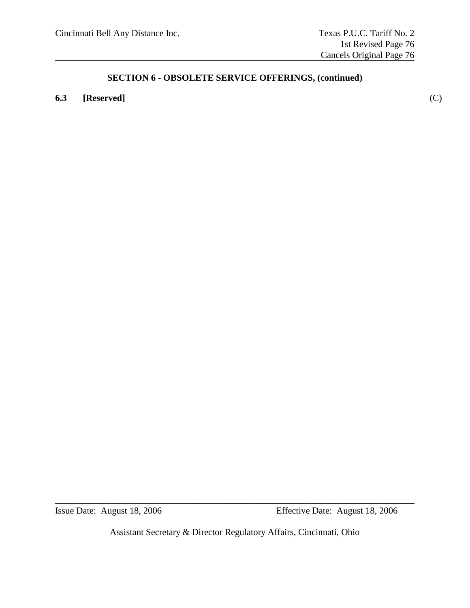### **6.3 [Reserved]** (C)

Assistant Secretary & Director Regulatory Affairs, Cincinnati, Ohio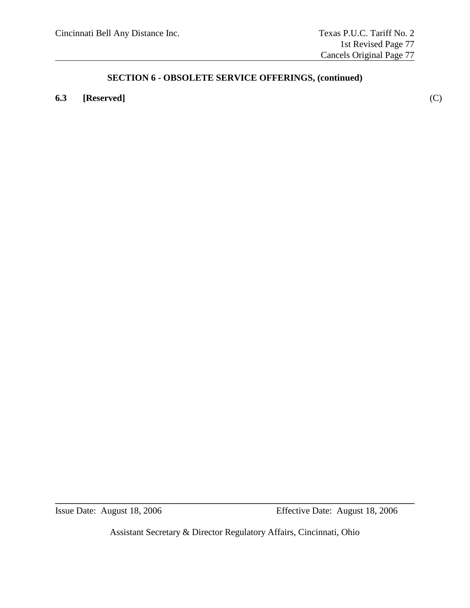### **6.3 [Reserved]** (C)

Assistant Secretary & Director Regulatory Affairs, Cincinnati, Ohio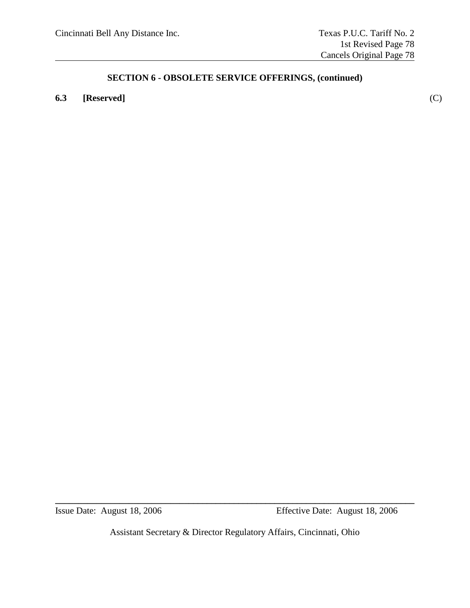### **6.3 [Reserved]** (C)

Assistant Secretary & Director Regulatory Affairs, Cincinnati, Ohio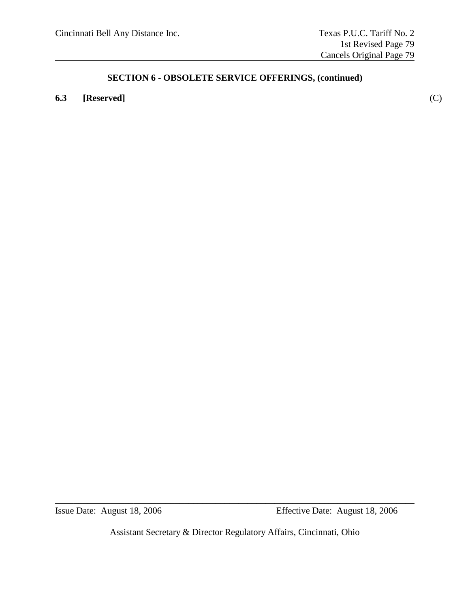### **6.3 [Reserved]** (C)

Assistant Secretary & Director Regulatory Affairs, Cincinnati, Ohio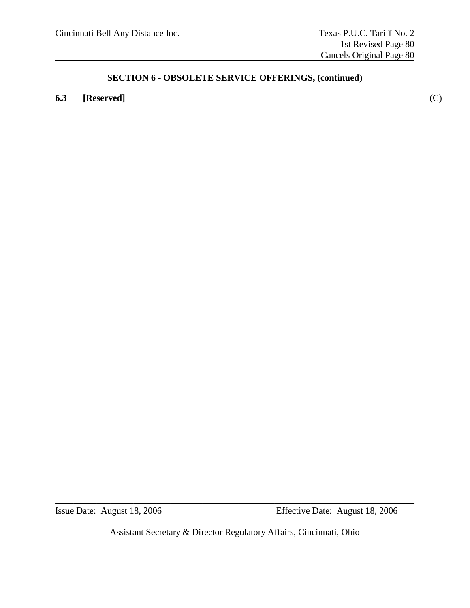### **6.3 [Reserved]** (C)

Assistant Secretary & Director Regulatory Affairs, Cincinnati, Ohio